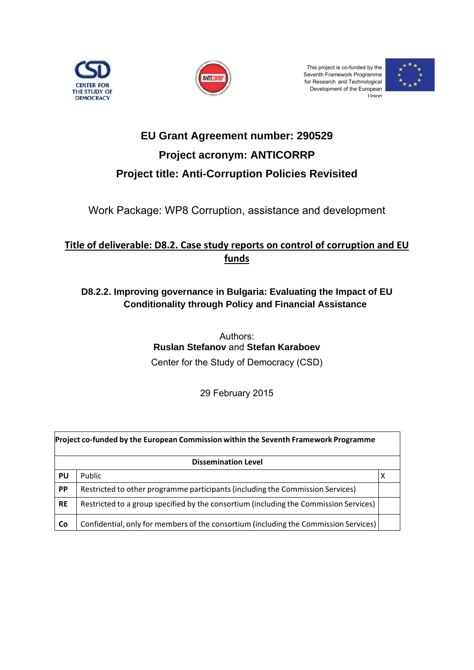



This project is co-funded by the Seventh Framework Programme for Research and Technologica Development of the European Union าe<br>าe<br>:al



# **Project title: Anti-Corruption Policies Revisited EU Grant Agreement number: 290529 Project acronym: ANTICORRP**

Work Package: WP8 Corruption, assistance and developmen <sub>an II</sub><br>nt

### <u>Title of deliverable: D8.2. Case study reports on control of corruption and EU</u> **funds**

### **D8.2.2.** Improving governance in Bulgaria: Evaluating the Impact of EU **Conditionality through Policy and Financial Assistance**

**Ruslan Stefanov and Stefan Karaboev** Center for the Study of Democracy (CSD) Authors:

29 February 2 2015

| Project co-funded by the European Commission within the Seventh Framework Programme |                                                                                       |  |  |  |  |  |
|-------------------------------------------------------------------------------------|---------------------------------------------------------------------------------------|--|--|--|--|--|
| <b>Dissemination Level</b>                                                          |                                                                                       |  |  |  |  |  |
| PU                                                                                  | Public                                                                                |  |  |  |  |  |
| PP                                                                                  | Restricted to other programme participants (including the Commission Services)        |  |  |  |  |  |
| <b>RE</b>                                                                           | Restricted to a group specified by the consortium (including the Commission Services) |  |  |  |  |  |
| Co                                                                                  | Confidential, only for members of the consortium (including the Commission Services)  |  |  |  |  |  |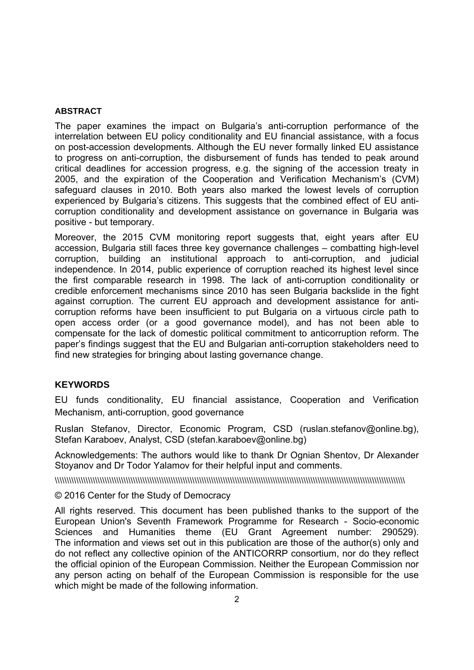#### **ABSTRACT**

The paper examines the impact on Bulgaria's anti-corruption performance of the interrelation between EU policy conditionality and EU financial assistance, with a focus on post-accession developments. Although the EU never formally linked EU assistance to progress on anti-corruption, the disbursement of funds has tended to peak around critical deadlines for accession progress, e.g. the signing of the accession treaty in 2005, and the expiration of the Cooperation and Verification Mechanism's (CVM) safeguard clauses in 2010. Both years also marked the lowest levels of corruption experienced by Bulgaria's citizens. This suggests that the combined effect of EU anticorruption conditionality and development assistance on governance in Bulgaria was positive - but temporary.

Moreover, the 2015 CVM monitoring report suggests that, eight years after EU accession, Bulgaria still faces three key governance challenges – combatting high-level corruption, building an institutional approach to anti-corruption, and judicial independence. In 2014, public experience of corruption reached its highest level since the first comparable research in 1998. The lack of anti-corruption conditionality or credible enforcement mechanisms since 2010 has seen Bulgaria backslide in the fight against corruption. The current EU approach and development assistance for anticorruption reforms have been insufficient to put Bulgaria on a virtuous circle path to open access order (or a good governance model), and has not been able to compensate for the lack of domestic political commitment to anticorruption reform. The paper's findings suggest that the EU and Bulgarian anti-corruption stakeholders need to find new strategies for bringing about lasting governance change.

#### **KEYWORDS**

EU funds conditionality, EU financial assistance, Cooperation and Verification Mechanism, anti-corruption, good governance

Ruslan Stefanov, Director, Economic Program, CSD (ruslan.stefanov@online.bg), Stefan Karaboev, Analyst, CSD (stefan.karaboev@online.bg)

Acknowledgements: The authors would like to thank Dr Ognian Shentov, Dr Alexander Stoyanov and Dr Todor Yalamov for their helpful input and comments.

\\\\\\\\\\\\\\\\\\\\\\\\\\\\\\\\\\\\\\\\\\\\\\\\\\\\\\\\\\\\\\\\\\\\\\\\\\\\\\\\\\\\\\\\\\\\\\\\\\\\\\\\\\\\\\\\\\\\\\\\\\\\\\\\\\\\\\\\\\\\\\\\\\\\

#### © 2016 Center for the Study of Democracy

All rights reserved. This document has been published thanks to the support of the European Union's Seventh Framework Programme for Research - Socio-economic Sciences and Humanities theme (EU Grant Agreement number: 290529). The information and views set out in this publication are those of the author(s) only and do not reflect any collective opinion of the ANTICORRP consortium, nor do they reflect the official opinion of the European Commission. Neither the European Commission nor any person acting on behalf of the European Commission is responsible for the use which might be made of the following information.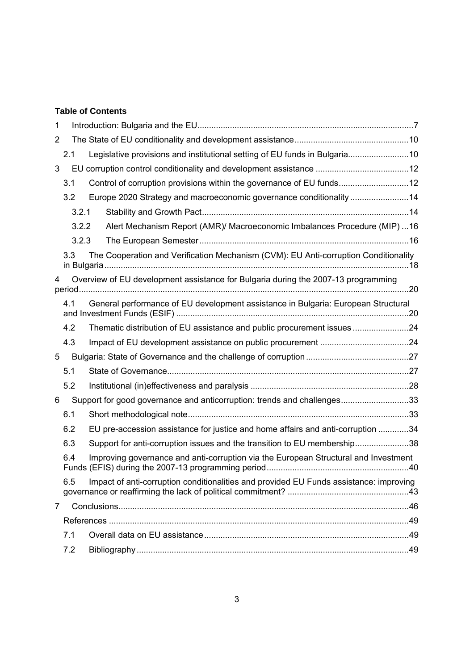### **Table of Contents**

| 1              |       |                                                                                        |  |
|----------------|-------|----------------------------------------------------------------------------------------|--|
| $\overline{2}$ |       |                                                                                        |  |
|                | 2.1   | Legislative provisions and institutional setting of EU funds in Bulgaria10             |  |
| 3              |       |                                                                                        |  |
|                | 3.1   | Control of corruption provisions within the governance of EU funds12                   |  |
|                | 3.2   | Europe 2020 Strategy and macroeconomic governance conditionality 14                    |  |
|                | 3.2.1 |                                                                                        |  |
|                | 3.2.2 | Alert Mechanism Report (AMR)/ Macroeconomic Imbalances Procedure (MIP)  16             |  |
|                | 3.2.3 |                                                                                        |  |
|                | 3.3   | The Cooperation and Verification Mechanism (CVM): EU Anti-corruption Conditionality    |  |
| 4              |       | Overview of EU development assistance for Bulgaria during the 2007-13 programming      |  |
|                | 4.1   | General performance of EU development assistance in Bulgaria: European Structural      |  |
|                | 4.2   | Thematic distribution of EU assistance and public procurement issues24                 |  |
|                | 4.3   |                                                                                        |  |
| 5              |       |                                                                                        |  |
|                | 5.1   |                                                                                        |  |
|                | 5.2   |                                                                                        |  |
| 6              |       | Support for good governance and anticorruption: trends and challenges33                |  |
|                | 6.1   |                                                                                        |  |
|                | 6.2   | EU pre-accession assistance for justice and home affairs and anti-corruption 34        |  |
|                | 6.3   | Support for anti-corruption issues and the transition to EU membership38               |  |
|                | 6.4   | Improving governance and anti-corruption via the European Structural and Investment    |  |
|                | 6.5   | Impact of anti-corruption conditionalities and provided EU Funds assistance: improving |  |
| $\overline{7}$ |       |                                                                                        |  |
|                |       |                                                                                        |  |
|                | 7.1   |                                                                                        |  |
|                | 7.2   |                                                                                        |  |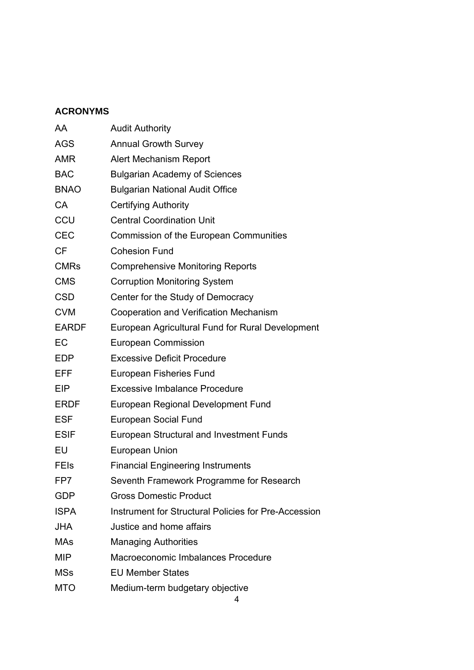### **ACRONYMS**

| AA           | <b>Audit Authority</b>                               |
|--------------|------------------------------------------------------|
| <b>AGS</b>   | <b>Annual Growth Survey</b>                          |
| <b>AMR</b>   | Alert Mechanism Report                               |
| <b>BAC</b>   | <b>Bulgarian Academy of Sciences</b>                 |
| <b>BNAO</b>  | <b>Bulgarian National Audit Office</b>               |
| <b>CA</b>    | <b>Certifying Authority</b>                          |
| CCU          | <b>Central Coordination Unit</b>                     |
| <b>CEC</b>   | Commission of the European Communities               |
| <b>CF</b>    | <b>Cohesion Fund</b>                                 |
| <b>CMRs</b>  | <b>Comprehensive Monitoring Reports</b>              |
| <b>CMS</b>   | <b>Corruption Monitoring System</b>                  |
| <b>CSD</b>   | Center for the Study of Democracy                    |
| <b>CVM</b>   | Cooperation and Verification Mechanism               |
| <b>EARDF</b> | European Agricultural Fund for Rural Development     |
| EC           | <b>European Commission</b>                           |
| <b>EDP</b>   | <b>Excessive Deficit Procedure</b>                   |
| <b>EFF</b>   | European Fisheries Fund                              |
| EIP          | <b>Excessive Imbalance Procedure</b>                 |
| <b>ERDF</b>  | European Regional Development Fund                   |
| <b>ESF</b>   | European Social Fund                                 |
| <b>ESIF</b>  | European Structural and Investment Funds             |
| EU           | European Union                                       |
| <b>FEIs</b>  | <b>Financial Engineering Instruments</b>             |
| FP7          | Seventh Framework Programme for Research             |
| <b>GDP</b>   | <b>Gross Domestic Product</b>                        |
| <b>ISPA</b>  | Instrument for Structural Policies for Pre-Accession |
| <b>JHA</b>   | Justice and home affairs                             |
| <b>MAs</b>   | <b>Managing Authorities</b>                          |
| <b>MIP</b>   | Macroeconomic Imbalances Procedure                   |
| <b>MSs</b>   | <b>EU Member States</b>                              |
| <b>MTO</b>   | Medium-term budgetary objective                      |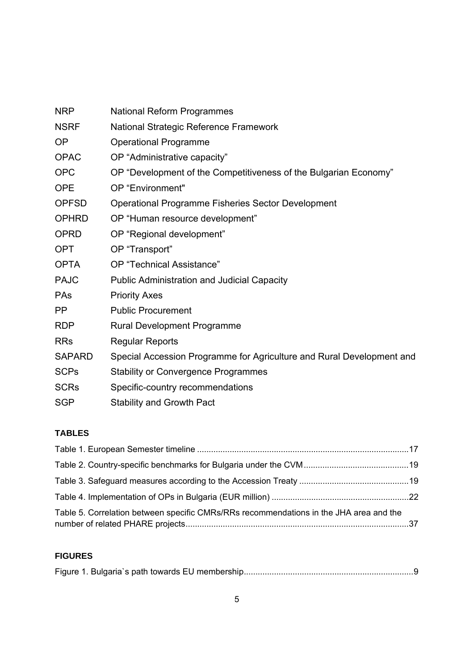| <b>NRP</b>    | <b>National Reform Programmes</b>                                     |
|---------------|-----------------------------------------------------------------------|
| <b>NSRF</b>   | National Strategic Reference Framework                                |
| <b>OP</b>     | <b>Operational Programme</b>                                          |
| <b>OPAC</b>   | OP "Administrative capacity"                                          |
| <b>OPC</b>    | OP "Development of the Competitiveness of the Bulgarian Economy"      |
| <b>OPE</b>    | OP "Environment"                                                      |
| <b>OPFSD</b>  | Operational Programme Fisheries Sector Development                    |
| <b>OPHRD</b>  | OP "Human resource development"                                       |
| <b>OPRD</b>   | OP "Regional development"                                             |
| <b>OPT</b>    | OP "Transport"                                                        |
| <b>OPTA</b>   | OP "Technical Assistance"                                             |
| <b>PAJC</b>   | <b>Public Administration and Judicial Capacity</b>                    |
| <b>PAs</b>    | <b>Priority Axes</b>                                                  |
| <b>PP</b>     | <b>Public Procurement</b>                                             |
| <b>RDP</b>    | <b>Rural Development Programme</b>                                    |
| <b>RRs</b>    | <b>Regular Reports</b>                                                |
| <b>SAPARD</b> | Special Accession Programme for Agriculture and Rural Development and |
| <b>SCPs</b>   | <b>Stability or Convergence Programmes</b>                            |
| <b>SCRs</b>   | Specific-country recommendations                                      |
| <b>SGP</b>    | <b>Stability and Growth Pact</b>                                      |

### **TABLES**

| Table 5. Correlation between specific CMRs/RRs recommendations in the JHA area and the |  |
|----------------------------------------------------------------------------------------|--|

### **FIGURES**

|--|--|--|--|--|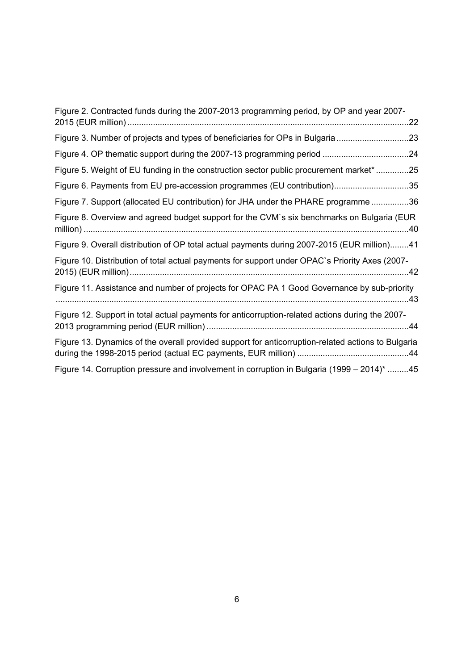| Figure 2. Contracted funds during the 2007-2013 programming period, by OP and year 2007-           |
|----------------------------------------------------------------------------------------------------|
| .22                                                                                                |
| Figure 3. Number of projects and types of beneficiaries for OPs in Bulgaria 23                     |
|                                                                                                    |
| Figure 5. Weight of EU funding in the construction sector public procurement market* 25            |
| Figure 6. Payments from EU pre-accession programmes (EU contribution)35                            |
| Figure 7. Support (allocated EU contribution) for JHA under the PHARE programme 36                 |
| Figure 8. Overview and agreed budget support for the CVM's six benchmarks on Bulgaria (EUR         |
| Figure 9. Overall distribution of OP total actual payments during 2007-2015 (EUR million)41        |
| Figure 10. Distribution of total actual payments for support under OPAC's Priority Axes (2007-     |
| Figure 11. Assistance and number of projects for OPAC PA 1 Good Governance by sub-priority         |
| Figure 12. Support in total actual payments for anticorruption-related actions during the 2007-    |
| Figure 13. Dynamics of the overall provided support for anticorruption-related actions to Bulgaria |
| Figure 14. Corruption pressure and involvement in corruption in Bulgaria (1999 – 2014)* 45         |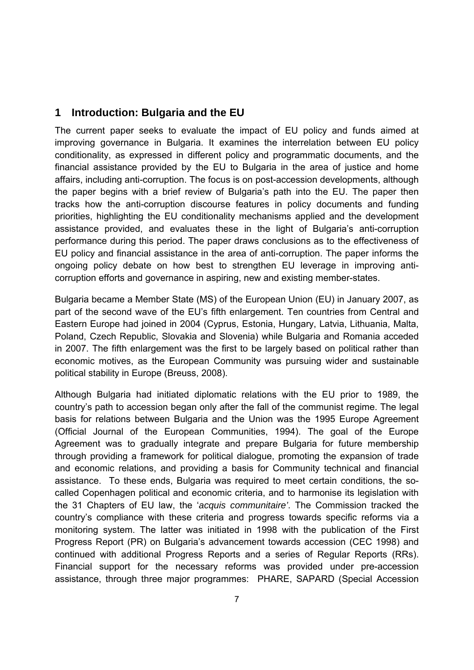### **1 Introduction: Bulgaria and the EU**

The current paper seeks to evaluate the impact of EU policy and funds aimed at improving governance in Bulgaria. It examines the interrelation between EU policy conditionality, as expressed in different policy and programmatic documents, and the financial assistance provided by the EU to Bulgaria in the area of justice and home affairs, including anti-corruption. The focus is on post-accession developments, although the paper begins with a brief review of Bulgaria's path into the EU. The paper then tracks how the anti-corruption discourse features in policy documents and funding priorities, highlighting the EU conditionality mechanisms applied and the development assistance provided, and evaluates these in the light of Bulgaria's anti-corruption performance during this period. The paper draws conclusions as to the effectiveness of EU policy and financial assistance in the area of anti-corruption. The paper informs the ongoing policy debate on how best to strengthen EU leverage in improving anticorruption efforts and governance in aspiring, new and existing member-states.

Bulgaria became a Member State (MS) of the European Union (EU) in January 2007, as part of the second wave of the EU's fifth enlargement. Ten countries from Central and Eastern Europe had joined in 2004 (Cyprus, Estonia, Hungary, Latvia, Lithuania, Malta, Poland, Czech Republic, Slovakia and Slovenia) while Bulgaria and Romania acceded in 2007. The fifth enlargement was the first to be largely based on political rather than economic motives, as the European Community was pursuing wider and sustainable political stability in Europe (Breuss, 2008).

Although Bulgaria had initiated diplomatic relations with the EU prior to 1989, the country's path to accession began only after the fall of the communist regime. The legal basis for relations between Bulgaria and the Union was the 1995 Europe Agreement (Official Journal of the European Communities, 1994). The goal of the Europe Agreement was to gradually integrate and prepare Bulgaria for future membership through providing a framework for political dialogue, promoting the expansion of trade and economic relations, and providing a basis for Community technical and financial assistance. To these ends, Bulgaria was required to meet certain conditions, the socalled Copenhagen political and economic criteria, and to harmonise its legislation with the 31 Chapters of EU law, the '*acquis communitaire'*. The Commission tracked the country's compliance with these criteria and progress towards specific reforms via a monitoring system. The latter was initiated in 1998 with the publication of the First Progress Report (PR) on Bulgaria's advancement towards accession (CEC 1998) and continued with additional Progress Reports and a series of Regular Reports (RRs). Financial support for the necessary reforms was provided under pre-accession assistance, through three major programmes: PHARE, SAPARD (Special Accession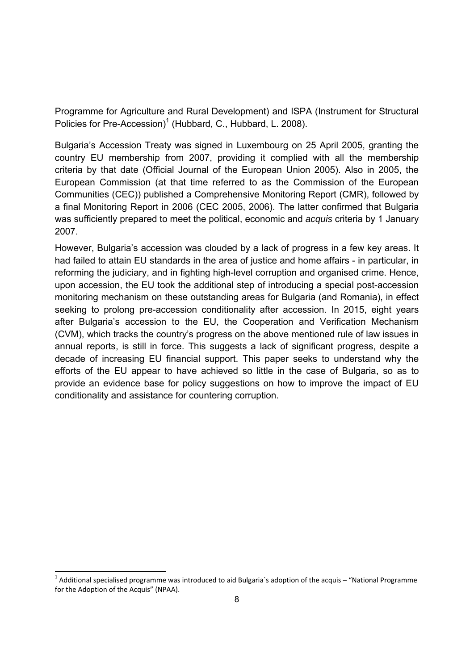Programme for Agriculture and Rural Development) and ISPA (Instrument for Structural Policies for Pre-Accession)<sup>1</sup> (Hubbard, C., Hubbard, L. 2008).

Bulgaria's Accession Treaty was signed in Luxembourg on 25 April 2005, granting the country EU membership from 2007, providing it complied with all the membership criteria by that date (Official Journal of the European Union 2005). Also in 2005, the European Commission (at that time referred to as the Commission of the European Communities (CEC)) published a Comprehensive Monitoring Report (CMR), followed by a final Monitoring Report in 2006 (CEC 2005, 2006). The latter confirmed that Bulgaria was sufficiently prepared to meet the political, economic and *acquis* criteria by 1 January 2007.

However, Bulgaria's accession was clouded by a lack of progress in a few key areas. It had failed to attain EU standards in the area of justice and home affairs - in particular, in reforming the judiciary, and in fighting high-level corruption and organised crime. Hence, upon accession, the EU took the additional step of introducing a special post-accession monitoring mechanism on these outstanding areas for Bulgaria (and Romania), in effect seeking to prolong pre-accession conditionality after accession. In 2015, eight years after Bulgaria's accession to the EU, the Cooperation and Verification Mechanism (CVM), which tracks the country's progress on the above mentioned rule of law issues in annual reports, is still in force. This suggests a lack of significant progress, despite a decade of increasing EU financial support. This paper seeks to understand why the efforts of the EU appear to have achieved so little in the case of Bulgaria, so as to provide an evidence base for policy suggestions on how to improve the impact of EU conditionality and assistance for countering corruption.

-

 $1$  Additional specialised programme was introduced to aid Bulgaria's adoption of the acquis – "National Programme for the Adoption of the Acquis" (NPAA).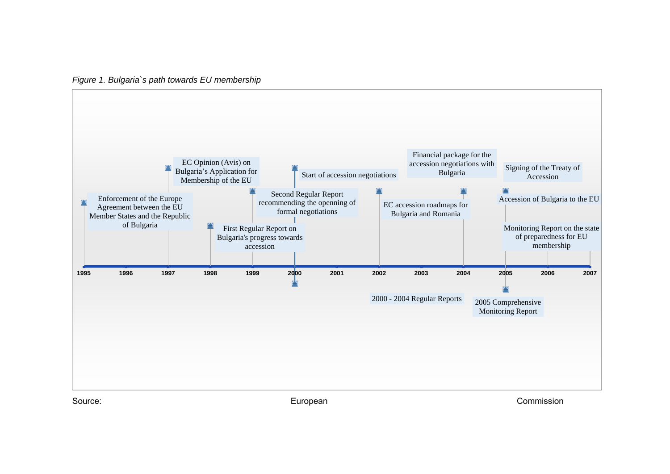*Figure 1. Bulgaria`s path towards EU membership*



Source: European Commission Commission Commission Commission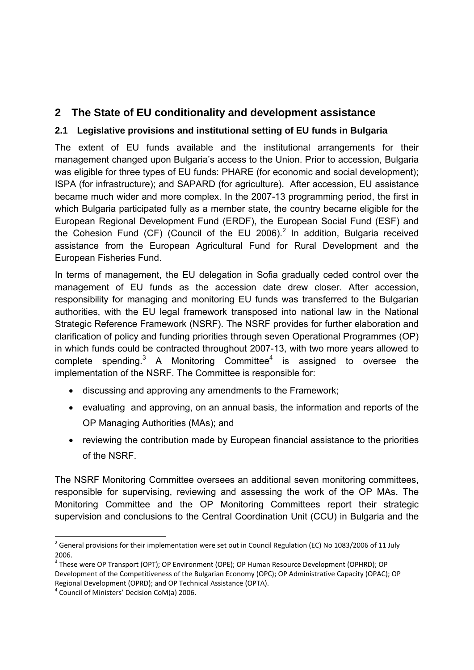### **2 The State of EU conditionality and development assistance**

### **2.1 Legislative provisions and institutional setting of EU funds in Bulgaria**

The extent of EU funds available and the institutional arrangements for their management changed upon Bulgaria's access to the Union. Prior to accession, Bulgaria was eligible for three types of EU funds: PHARE (for economic and social development); ISPA (for infrastructure); and SAPARD (for agriculture). After accession, EU assistance became much wider and more complex. In the 2007-13 programming period, the first in which Bulgaria participated fully as a member state, the country became eligible for the European Regional Development Fund (ERDF), the European Social Fund (ESF) and the Cohesion Fund (CF) (Council of the EU 2006).<sup>2</sup> In addition, Bulgaria received assistance from the European Agricultural Fund for Rural Development and the European Fisheries Fund.

In terms of management, the EU delegation in Sofia gradually ceded control over the management of EU funds as the accession date drew closer. After accession, responsibility for managing and monitoring EU funds was transferred to the Bulgarian authorities, with the EU legal framework transposed into national law in the National Strategic Reference Framework (NSRF). The NSRF provides for further elaboration and clarification of policy and funding priorities through seven Operational Programmes (OP) in which funds could be contracted throughout 2007-13, with two more years allowed to complete spending. $3$  A Monitoring Committee<sup>4</sup> is assigned to oversee the implementation of the NSRF. The Committee is responsible for:

- discussing and approving any amendments to the Framework;
- evaluating and approving, on an annual basis, the information and reports of the OP Managing Authorities (MAs); and
- reviewing the contribution made by European financial assistance to the priorities of the NSRF.

The NSRF Monitoring Committee oversees an additional seven monitoring committees, responsible for supervising, reviewing and assessing the work of the OP MAs. The Monitoring Committee and the OP Monitoring Committees report their strategic supervision and conclusions to the Central Coordination Unit (CCU) in Bulgaria and the

-

 $^2$  General provisions for their implementation were set out in Council Regulation (EC) No 1083/2006 of 11 July 2006.

<sup>3</sup> These were OP Transport (OPT); OP Environment (OPE); OP Human Resource Development (OPHRD); OP Development of the Competitiveness of the Bulgarian Economy (OPC); OP Administrative Capacity (OPAC); OP Regional Development (OPRD); and OP Technical Assistance (OPTA).<br><sup>4</sup> Council of Ministers' Decision CoM(a) 2006.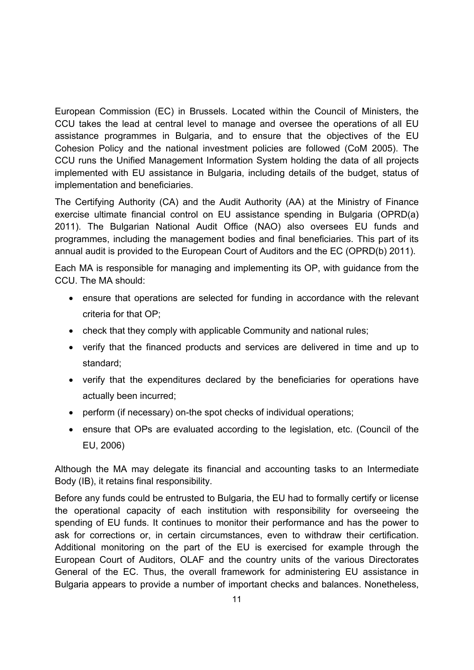European Commission (EC) in Brussels. Located within the Council of Ministers, the CCU takes the lead at central level to manage and oversee the operations of all EU assistance programmes in Bulgaria, and to ensure that the objectives of the EU Cohesion Policy and the national investment policies are followed (CoM 2005). The CCU runs the Unified Management Information System holding the data of all projects implemented with EU assistance in Bulgaria, including details of the budget, status of implementation and beneficiaries.

The Certifying Authority (CA) and the Audit Authority (AA) at the Ministry of Finance exercise ultimate financial control on EU assistance spending in Bulgaria (OPRD(a) 2011). The Bulgarian National Audit Office (NAO) also oversees EU funds and programmes, including the management bodies and final beneficiaries. This part of its annual audit is provided to the European Court of Auditors and the EC (OPRD(b) 2011).

Each MA is responsible for managing and implementing its OP, with guidance from the CCU. The MA should:

- ensure that operations are selected for funding in accordance with the relevant criteria for that OP;
- check that they comply with applicable Community and national rules;
- verify that the financed products and services are delivered in time and up to standard;
- verify that the expenditures declared by the beneficiaries for operations have actually been incurred;
- perform (if necessary) on-the spot checks of individual operations;
- ensure that OPs are evaluated according to the legislation, etc. (Council of the EU, 2006)

Although the MA may delegate its financial and accounting tasks to an Intermediate Body (IB), it retains final responsibility.

Before any funds could be entrusted to Bulgaria, the EU had to formally certify or license the operational capacity of each institution with responsibility for overseeing the spending of EU funds. It continues to monitor their performance and has the power to ask for corrections or, in certain circumstances, even to withdraw their certification. Additional monitoring on the part of the EU is exercised for example through the European Court of Auditors, OLAF and the country units of the various Directorates General of the EC. Thus, the overall framework for administering EU assistance in Bulgaria appears to provide a number of important checks and balances. Nonetheless,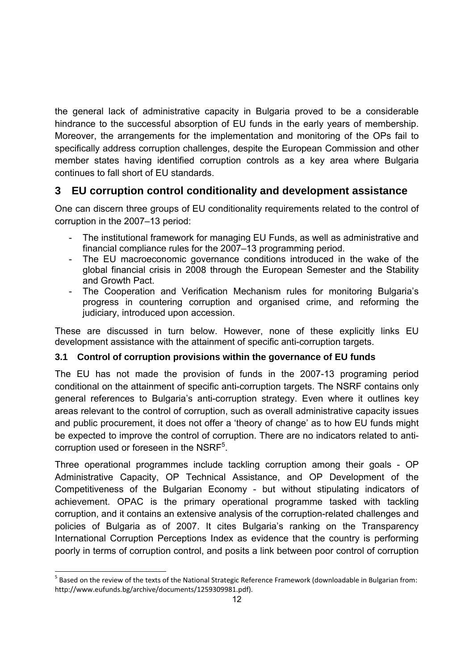the general lack of administrative capacity in Bulgaria proved to be a considerable hindrance to the successful absorption of EU funds in the early years of membership. Moreover, the arrangements for the implementation and monitoring of the OPs fail to specifically address corruption challenges, despite the European Commission and other member states having identified corruption controls as a key area where Bulgaria continues to fall short of EU standards.

## **3 EU corruption control conditionality and development assistance**

One can discern three groups of EU conditionality requirements related to the control of corruption in the 2007–13 period:

- The institutional framework for managing EU Funds, as well as administrative and financial compliance rules for the 2007–13 programming period.
- The EU macroeconomic governance conditions introduced in the wake of the global financial crisis in 2008 through the European Semester and the Stability and Growth Pact.
- The Cooperation and Verification Mechanism rules for monitoring Bulgaria's progress in countering corruption and organised crime, and reforming the judiciary, introduced upon accession.

These are discussed in turn below. However, none of these explicitly links EU development assistance with the attainment of specific anti-corruption targets.

### **3.1 Control of corruption provisions within the governance of EU funds**

The EU has not made the provision of funds in the 2007-13 programing period conditional on the attainment of specific anti-corruption targets. The NSRF contains only general references to Bulgaria's anti-corruption strategy. Even where it outlines key areas relevant to the control of corruption, such as overall administrative capacity issues and public procurement, it does not offer a 'theory of change' as to how EU funds might be expected to improve the control of corruption. There are no indicators related to anticorruption used or foreseen in the NSRF<sup>5</sup>.

Three operational programmes include tackling corruption among their goals - OP Administrative Capacity, OP Technical Assistance, and OP Development of the Competitiveness of the Bulgarian Economy - but without stipulating indicators of achievement. OPAC is the primary operational programme tasked with tackling corruption, and it contains an extensive analysis of the corruption-related challenges and policies of Bulgaria as of 2007. It cites Bulgaria's ranking on the Transparency International Corruption Perceptions Index as evidence that the country is performing poorly in terms of corruption control, and posits a link between poor control of corruption

-

<sup>&</sup>lt;sup>5</sup> Based on the review of the texts of the National Strategic Reference Framework (downloadable in Bulgarian from: http://www.eufunds.bg/archive/documents/1259309981.pdf).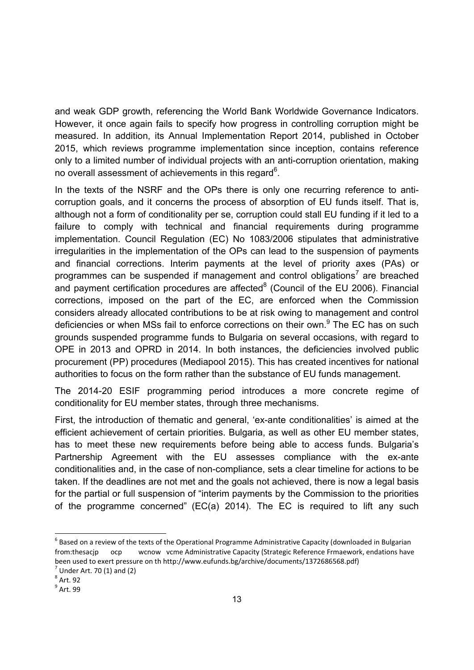and weak GDP growth, referencing the World Bank Worldwide Governance Indicators. However, it once again fails to specify how progress in controlling corruption might be measured. In addition, its Annual Implementation Report 2014, published in October 2015, which reviews programme implementation since inception, contains reference only to a limited number of individual projects with an anti-corruption orientation, making no overall assessment of achievements in this regard $6$ .

In the texts of the NSRF and the OPs there is only one recurring reference to anticorruption goals, and it concerns the process of absorption of EU funds itself. That is, although not a form of conditionality per se, corruption could stall EU funding if it led to a failure to comply with technical and financial requirements during programme implementation. Council Regulation (EC) No 1083/2006 stipulates that administrative irregularities in the implementation of the OPs can lead to the suspension of payments and financial corrections. Interim payments at the level of priority axes (PAs) or programmes can be suspended if management and control obligations<sup>7</sup> are breached and payment certification procedures are affected $8$  (Council of the EU 2006). Financial corrections, imposed on the part of the EC, are enforced when the Commission considers already allocated contributions to be at risk owing to management and control deficiencies or when MSs fail to enforce corrections on their own.<sup>9</sup> The EC has on such grounds suspended programme funds to Bulgaria on several occasions, with regard to OPE in 2013 and OPRD in 2014. In both instances, the deficiencies involved public procurement (PP) procedures (Mediapool 2015). This has created incentives for national authorities to focus on the form rather than the substance of EU funds management.

The 2014-20 ESIF programming period introduces a more concrete regime of conditionality for EU member states, through three mechanisms.

First, the introduction of thematic and general, 'ex-ante conditionalities' is aimed at the efficient achievement of certain priorities. Bulgaria, as well as other EU member states, has to meet these new requirements before being able to access funds. Bulgaria's Partnership Agreement with the EU assesses compliance with the ex-ante conditionalities and, in the case of non-compliance, sets a clear timeline for actions to be taken. If the deadlines are not met and the goals not achieved, there is now a legal basis for the partial or full suspension of "interim payments by the Commission to the priorities of the programme concerned" (EC(a) 2014). The EC is required to lift any such

 $6$  Based on a review of the texts of the Operational Programme Administrative Capacity (downloaded in Bulgarian from:thesacjp ocp wcnow vcme Administrative Capacity (Strategic Reference Frmaework, endations have been used to exert pressure on th http://www.eufunds.bg/archive/documents/1372686568.pdf)<br>
<sup>7</sup> Under Art. 70 (1) and (2)<br>
<sup>8</sup> Art. 92<br>
<sup>9</sup> Art. 99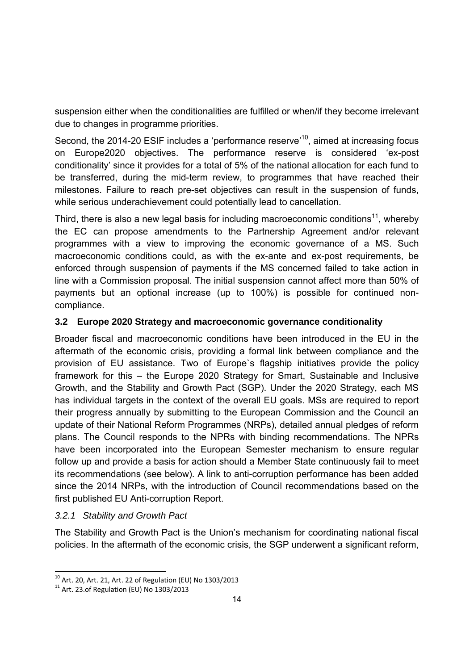suspension either when the conditionalities are fulfilled or when/if they become irrelevant due to changes in programme priorities.

Second, the 2014-20 ESIF includes a 'performance reserve'<sup>10</sup>, aimed at increasing focus on Europe2020 objectives. The performance reserve is considered 'ex-post conditionality' since it provides for a total of 5% of the national allocation for each fund to be transferred, during the mid-term review, to programmes that have reached their milestones. Failure to reach pre-set objectives can result in the suspension of funds, while serious underachievement could potentially lead to cancellation.

Third, there is also a new legal basis for including macroeconomic conditions<sup>11</sup>, whereby the EC can propose amendments to the Partnership Agreement and/or relevant programmes with a view to improving the economic governance of a MS. Such macroeconomic conditions could, as with the ex-ante and ex-post requirements, be enforced through suspension of payments if the MS concerned failed to take action in line with a Commission proposal. The initial suspension cannot affect more than 50% of payments but an optional increase (up to 100%) is possible for continued noncompliance.

### **3.2 Europe 2020 Strategy and macroeconomic governance conditionality**

Broader fiscal and macroeconomic conditions have been introduced in the EU in the aftermath of the economic crisis, providing a formal link between compliance and the provision of EU assistance. Two of Europe`s flagship initiatives provide the policy framework for this – the Europe 2020 Strategy for Smart, Sustainable and Inclusive Growth, and the Stability and Growth Pact (SGP). Under the 2020 Strategy, each MS has individual targets in the context of the overall EU goals. MSs are required to report their progress annually by submitting to the European Commission and the Council an update of their National Reform Programmes (NRPs), detailed annual pledges of reform plans. The Council responds to the NPRs with binding recommendations. The NPRs have been incorporated into the European Semester mechanism to ensure regular follow up and provide a basis for action should a Member State continuously fail to meet its recommendations (see below). A link to anti-corruption performance has been added since the 2014 NRPs, with the introduction of Council recommendations based on the first published EU Anti-corruption Report.

### *3.2.1 Stability and Growth Pact*

The Stability and Growth Pact is the Union's mechanism for coordinating national fiscal policies. In the aftermath of the economic crisis, the SGP underwent a significant reform,

-

<sup>&</sup>lt;sup>10</sup> Art. 20, Art. 21, Art. 22 of Regulation (EU) No 1303/2013<br><sup>11</sup> Art. 23.of Regulation (EU) No 1303/2013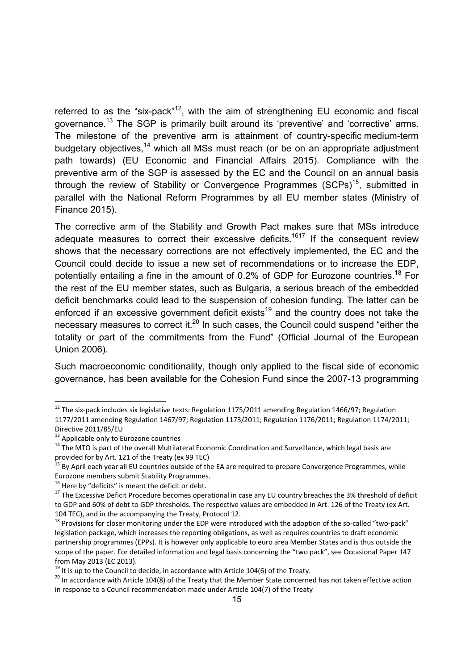referred to as the "six-pack"<sup>12</sup>, with the aim of strengthening EU economic and fiscal governance.13 The SGP is primarily built around its 'preventive' and 'corrective' arms. The milestone of the preventive arm is attainment of country-specific medium-term budgetary objectives,<sup>14</sup> which all MSs must reach (or be on an appropriate adjustment path towards) (EU Economic and Financial Affairs 2015). Compliance with the preventive arm of the SGP is assessed by the EC and the Council on an annual basis through the review of Stability or Convergence Programmes  $(SCPs)^{15}$ , submitted in parallel with the National Reform Programmes by all EU member states (Ministry of Finance 2015).

The corrective arm of the Stability and Growth Pact makes sure that MSs introduce adequate measures to correct their excessive deficits.<sup>1617</sup> If the consequent review shows that the necessary corrections are not effectively implemented, the EC and the Council could decide to issue a new set of recommendations or to increase the EDP, potentially entailing a fine in the amount of 0.2% of GDP for Eurozone countries.<sup>18</sup> For the rest of the EU member states, such as Bulgaria, a serious breach of the embedded deficit benchmarks could lead to the suspension of cohesion funding. The latter can be enforced if an excessive government deficit exists<sup>19</sup> and the country does not take the necessary measures to correct it.<sup>20</sup> In such cases, the Council could suspend "either the totality or part of the commitments from the Fund" (Official Journal of the European Union 2006).

Such macroeconomic conditionality, though only applied to the fiscal side of economic governance, has been available for the Cohesion Fund since the 2007-13 programming

-

 $12$  The six-pack includes six legislative texts: Regulation 1175/2011 amending Regulation 1466/97; Regulation 1177/2011 amending Regulation 1467/97; Regulation 1173/2011; Regulation 1176/2011; Regulation 1174/2011;

Directive 2011/85/EU<br><sup>13</sup> Applicable only to Eurozone countries<br><sup>14</sup> The MTO is part of the overall Multilateral Economic Coordination and Surveillance, which legal basis are<br>provided for by Art. 121 of the Treaty (ex 99 T

<sup>&</sup>lt;sup>15</sup> By April each year all EU countries outside of the EA are required to prepare Convergence Programmes, while Eurozone members submit Stability Programmes.<br><sup>16</sup> Here by "deficits" is meant the deficit or debt.<br><sup>17</sup> The Excessive Deficit Procedure becomes operational in case any EU country breaches the 3% threshold of deficit

to GDP and 60% of debt to GDP thresholds. The respective values are embedded in Art. 126 of the Treaty (ex Art.

<sup>104</sup> TEC), and in the accompanying the Treaty, Protocol 12.<br><sup>18</sup> Provisions for closer monitoring under the EDP were introduced with the adoption of the so-called "two-pack" legislation package, which increases the reporting obligations, as well as requires countries to draft economic partnership programmes (EPPs). It is however only applicable to euro area Member States and is thus outside the scope of the paper. For detailed information and legal basis concerning the "two pack", see Occasional Paper 147 from May 2013 (EC 2013).<br><sup>19</sup> It is up to the Council to decide, in accordance with Article 104(6) of the Treaty.<br><sup>20</sup> In accordance with Article 104(8) of the Treaty that the Member State concerned has not taken effectiv

in response to a Council recommendation made under Article 104(7) of the Treaty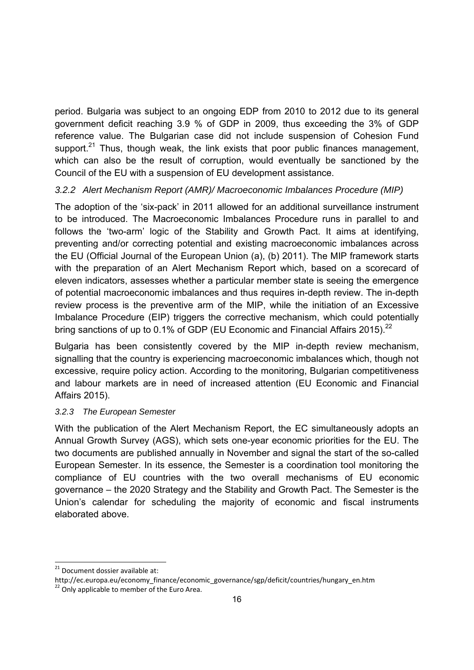period. Bulgaria was subject to an ongoing EDP from 2010 to 2012 due to its general government deficit reaching 3.9 % of GDP in 2009, thus exceeding the 3% of GDP reference value. The Bulgarian case did not include suspension of Cohesion Fund support.<sup>21</sup> Thus, though weak, the link exists that poor public finances management, which can also be the result of corruption, would eventually be sanctioned by the Council of the EU with a suspension of EU development assistance.

### *3.2.2 Alert Mechanism Report (AMR)/ Macroeconomic Imbalances Procedure (MIP)*

The adoption of the 'six-pack' in 2011 allowed for an additional surveillance instrument to be introduced. The Macroeconomic Imbalances Procedure runs in parallel to and follows the 'two-arm' logic of the Stability and Growth Pact. It aims at identifying, preventing and/or correcting potential and existing macroeconomic imbalances across the EU (Official Journal of the European Union (a), (b) 2011). The MIP framework starts with the preparation of an Alert Mechanism Report which, based on a scorecard of eleven indicators, assesses whether a particular member state is seeing the emergence of potential macroeconomic imbalances and thus requires in-depth review. The in-depth review process is the preventive arm of the MIP, while the initiation of an Excessive Imbalance Procedure (EIP) triggers the corrective mechanism, which could potentially bring sanctions of up to 0.1% of GDP (EU Economic and Financial Affairs 2015).<sup>22</sup>

Bulgaria has been consistently covered by the MIP in-depth review mechanism, signalling that the country is experiencing macroeconomic imbalances which, though not excessive, require policy action. According to the monitoring, Bulgarian competitiveness and labour markets are in need of increased attention (EU Economic and Financial Affairs 2015).

### *3.2.3 The European Semester*

With the publication of the Alert Mechanism Report, the EC simultaneously adopts an Annual Growth Survey (AGS), which sets one-year economic priorities for the EU. The two documents are published annually in November and signal the start of the so-called European Semester. In its essence, the Semester is a coordination tool monitoring the compliance of EU countries with the two overall mechanisms of EU economic governance – the 2020 Strategy and the Stability and Growth Pact. The Semester is the Union's calendar for scheduling the majority of economic and fiscal instruments elaborated above.

<sup>&</sup>lt;sup>21</sup> Document dossier available at:

http://ec.europa.eu/economy\_finance/economic\_governance/sgp/deficit/countries/hungary\_en.htm

 $22$  Only applicable to member of the Euro Area.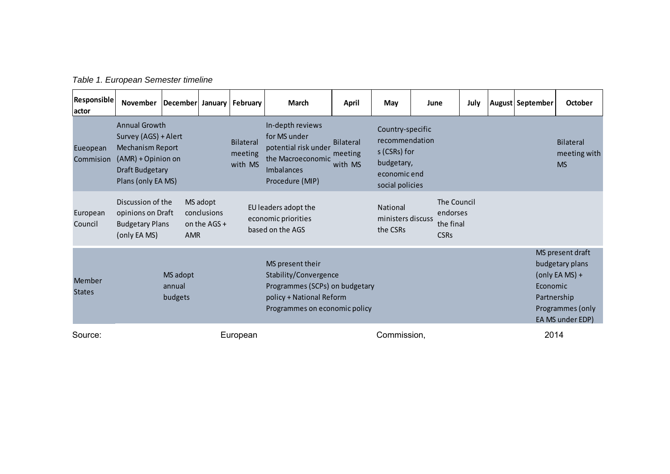| Table 1. European Semester timeline |  |
|-------------------------------------|--|
|                                     |  |

| Responsible<br>actor    | <b>November</b>                                                                                                                 | December January |                                           | February                                                                                                                                 | <b>March</b>                                                                                                   | April                                  | May                                                                                                 | June |                                                     | July                    | August September                                                                              | <b>October</b> |
|-------------------------|---------------------------------------------------------------------------------------------------------------------------------|------------------|-------------------------------------------|------------------------------------------------------------------------------------------------------------------------------------------|----------------------------------------------------------------------------------------------------------------|----------------------------------------|-----------------------------------------------------------------------------------------------------|------|-----------------------------------------------------|-------------------------|-----------------------------------------------------------------------------------------------|----------------|
| Eueopean<br>Commision   | Annual Growth<br>Survey (AGS) + Alert<br>Mechanism Report<br>(AMR) + Opinion on<br><b>Draft Budgetary</b><br>Plans (only EA MS) |                  |                                           | <b>Bilateral</b><br>meeting<br>with MS                                                                                                   | In-depth reviews<br>for MS under<br>potential risk under<br>the Macroeconomic<br>Imbalances<br>Procedure (MIP) | <b>Bilateral</b><br>meeting<br>with MS | Country-specific<br>recommendation<br>s (CSRs) for<br>budgetary,<br>economic end<br>social policies |      |                                                     |                         | <b>Bilateral</b><br>meeting with<br><b>MS</b>                                                 |                |
| European<br>Council     | Discussion of the<br>opinions on Draft<br><b>Budgetary Plans</b><br>(only EA MS)                                                | <b>AMR</b>       | MS adopt<br>conclusions<br>on the AGS $+$ |                                                                                                                                          | EU leaders adopt the<br>economic priorities<br>based on the AGS                                                |                                        | National<br>ministers discuss<br>the CSRs                                                           |      | The Council<br>endorses<br>the final<br><b>CSRs</b> |                         |                                                                                               |                |
| Member<br><b>States</b> | MS adopt<br>annual<br>budgets                                                                                                   |                  |                                           | MS present their<br>Stability/Convergence<br>Programmes (SCPs) on budgetary<br>policy + National Reform<br>Programmes on economic policy |                                                                                                                |                                        |                                                                                                     |      |                                                     | Economic<br>Partnership | MS present draft<br>budgetary plans<br>(only EA MS) +<br>Programmes (only<br>EA MS under EDP) |                |
| Source:                 |                                                                                                                                 |                  |                                           | European                                                                                                                                 |                                                                                                                |                                        | Commission,                                                                                         |      |                                                     |                         | 2014                                                                                          |                |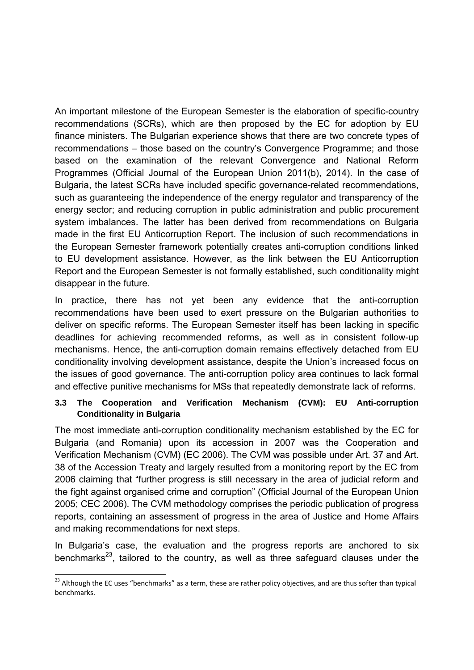An important milestone of the European Semester is the elaboration of specific-country recommendations (SCRs), which are then proposed by the EC for adoption by EU finance ministers. The Bulgarian experience shows that there are two concrete types of recommendations – those based on the country's Convergence Programme; and those based on the examination of the relevant Convergence and National Reform Programmes (Official Journal of the European Union 2011(b), 2014). In the case of Bulgaria, the latest SCRs have included specific governance-related recommendations, such as guaranteeing the independence of the energy regulator and transparency of the energy sector; and reducing corruption in public administration and public procurement system imbalances. The latter has been derived from recommendations on Bulgaria made in the first EU Anticorruption Report. The inclusion of such recommendations in the European Semester framework potentially creates anti-corruption conditions linked to EU development assistance. However, as the link between the EU Anticorruption Report and the European Semester is not formally established, such conditionality might disappear in the future.

In practice, there has not yet been any evidence that the anti-corruption recommendations have been used to exert pressure on the Bulgarian authorities to deliver on specific reforms. The European Semester itself has been lacking in specific deadlines for achieving recommended reforms, as well as in consistent follow-up mechanisms. Hence, the anti-corruption domain remains effectively detached from EU conditionality involving development assistance, despite the Union's increased focus on the issues of good governance. The anti-corruption policy area continues to lack formal and effective punitive mechanisms for MSs that repeatedly demonstrate lack of reforms.

### **3.3 The Cooperation and Verification Mechanism (CVM): EU Anti-corruption Conditionality in Bulgaria**

The most immediate anti-corruption conditionality mechanism established by the EC for Bulgaria (and Romania) upon its accession in 2007 was the Cooperation and Verification Mechanism (CVM) (EC 2006). The CVM was possible under Art. 37 and Art. 38 of the Accession Treaty and largely resulted from a monitoring report by the EC from 2006 claiming that "further progress is still necessary in the area of judicial reform and the fight against organised crime and corruption" (Official Journal of the European Union 2005; CEC 2006). The CVM methodology comprises the periodic publication of progress reports, containing an assessment of progress in the area of Justice and Home Affairs and making recommendations for next steps.

In Bulgaria's case, the evaluation and the progress reports are anchored to six benchmarks<sup>23</sup>, tailored to the country, as well as three safeguard clauses under the

<sup>&</sup>lt;sup>23</sup> Although the EC uses "benchmarks" as a term, these are rather policy objectives, and are thus softer than typical benchmarks.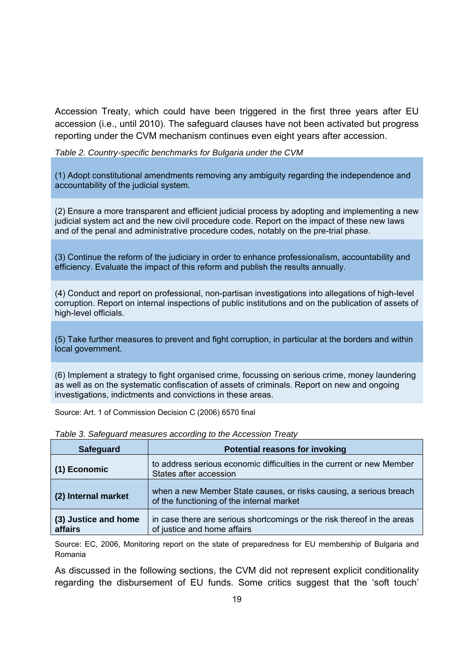Accession Treaty, which could have been triggered in the first three years after EU accession (i.e., until 2010). The safeguard clauses have not been activated but progress reporting under the CVM mechanism continues even eight years after accession.

*Table 2. Country-specific benchmarks for Bulgaria under the CVM*

(1) Adopt constitutional amendments removing any ambiguity regarding the independence and accountability of the judicial system.

(2) Ensure a more transparent and efficient judicial process by adopting and implementing a new judicial system act and the new civil procedure code. Report on the impact of these new laws and of the penal and administrative procedure codes, notably on the pre-trial phase.

(3) Continue the reform of the judiciary in order to enhance professionalism, accountability and efficiency. Evaluate the impact of this reform and publish the results annually.

(4) Conduct and report on professional, non-partisan investigations into allegations of high-level corruption. Report on internal inspections of public institutions and on the publication of assets of high-level officials.

(5) Take further measures to prevent and fight corruption, in particular at the borders and within local government.

(6) Implement a strategy to fight organised crime, focussing on serious crime, money laundering as well as on the systematic confiscation of assets of criminals. Report on new and ongoing investigations, indictments and convictions in these areas.

Source: Art. 1 of Commission Decision C (2006) 6570 final

| <b>Safeguard</b>                | <b>Potential reasons for invoking</b>                                                                           |
|---------------------------------|-----------------------------------------------------------------------------------------------------------------|
| (1) Economic                    | to address serious economic difficulties in the current or new Member<br>States after accession                 |
| (2) Internal market             | when a new Member State causes, or risks causing, a serious breach<br>of the functioning of the internal market |
| (3) Justice and home<br>affairs | in case there are serious shortcomings or the risk thereof in the areas<br>of justice and home affairs          |

*Table 3. Safeguard measures according to the Accession Treaty*

Source: EC, 2006, Monitoring report on the state of preparedness for EU membership of Bulgaria and Romania

As discussed in the following sections, the CVM did not represent explicit conditionality regarding the disbursement of EU funds. Some critics suggest that the 'soft touch'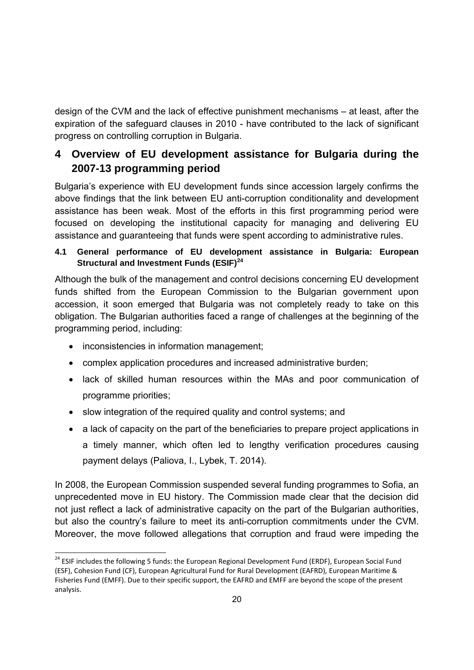design of the CVM and the lack of effective punishment mechanisms – at least, after the expiration of the safeguard clauses in 2010 - have contributed to the lack of significant progress on controlling corruption in Bulgaria.

## **4 Overview of EU development assistance for Bulgaria during the 2007-13 programming period**

Bulgaria's experience with EU development funds since accession largely confirms the above findings that the link between EU anti-corruption conditionality and development assistance has been weak. Most of the efforts in this first programming period were focused on developing the institutional capacity for managing and delivering EU assistance and guaranteeing that funds were spent according to administrative rules.

### **4.1 General performance of EU development assistance in Bulgaria: European Structural and Investment Funds (ESIF)<sup>24</sup>**

Although the bulk of the management and control decisions concerning EU development funds shifted from the European Commission to the Bulgarian government upon accession, it soon emerged that Bulgaria was not completely ready to take on this obligation. The Bulgarian authorities faced a range of challenges at the beginning of the programming period, including:

• inconsistencies in information management;

-

- complex application procedures and increased administrative burden;
- lack of skilled human resources within the MAs and poor communication of programme priorities;
- slow integration of the required quality and control systems; and
- a lack of capacity on the part of the beneficiaries to prepare project applications in a timely manner, which often led to lengthy verification procedures causing payment delays (Paliova, I., Lybek, T. 2014).

In 2008, the European Commission suspended several funding programmes to Sofia, an unprecedented move in EU history. The Commission made clear that the decision did not just reflect a lack of administrative capacity on the part of the Bulgarian authorities, but also the country's failure to meet its anti-corruption commitments under the CVM. Moreover, the move followed allegations that corruption and fraud were impeding the

<sup>&</sup>lt;sup>24</sup> ESIF includes the following 5 funds: the European Regional Development Fund (ERDF), European Social Fund (ESF), Cohesion Fund (CF), European Agricultural Fund for Rural Development (EAFRD), European Maritime & Fisheries Fund (EMFF). Due to their specific support, the EAFRD and EMFF are beyond the scope of the present analysis.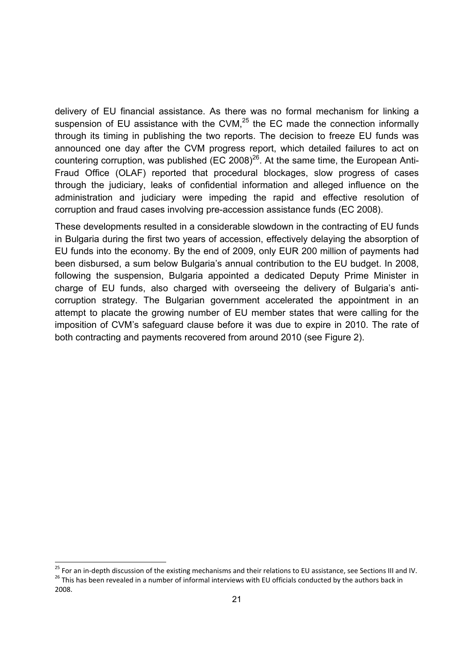delivery of EU financial assistance. As there was no formal mechanism for linking a suspension of EU assistance with the CVM, $^{25}$  the EC made the connection informally through its timing in publishing the two reports. The decision to freeze EU funds was announced one day after the CVM progress report, which detailed failures to act on countering corruption, was published (EC 2008) $^{26}$ . At the same time, the European Anti-Fraud Office (OLAF) reported that procedural blockages, slow progress of cases through the judiciary, leaks of confidential information and alleged influence on the administration and judiciary were impeding the rapid and effective resolution of corruption and fraud cases involving pre-accession assistance funds (EC 2008).

These developments resulted in a considerable slowdown in the contracting of EU funds in Bulgaria during the first two years of accession, effectively delaying the absorption of EU funds into the economy. By the end of 2009, only EUR 200 million of payments had been disbursed, a sum below Bulgaria's annual contribution to the EU budget. In 2008, following the suspension, Bulgaria appointed a dedicated Deputy Prime Minister in charge of EU funds, also charged with overseeing the delivery of Bulgaria's anticorruption strategy. The Bulgarian government accelerated the appointment in an attempt to placate the growing number of EU member states that were calling for the imposition of CVM's safeguard clause before it was due to expire in 2010. The rate of both contracting and payments recovered from around 2010 (see Figure 2).

<sup>&</sup>lt;sup>25</sup> For an in-depth discussion of the existing mechanisms and their relations to EU assistance, see Sections III and IV.<br><sup>26</sup> This has been revealed in a number of informal interviews with EU officials conducted by the au

<sup>2008.</sup>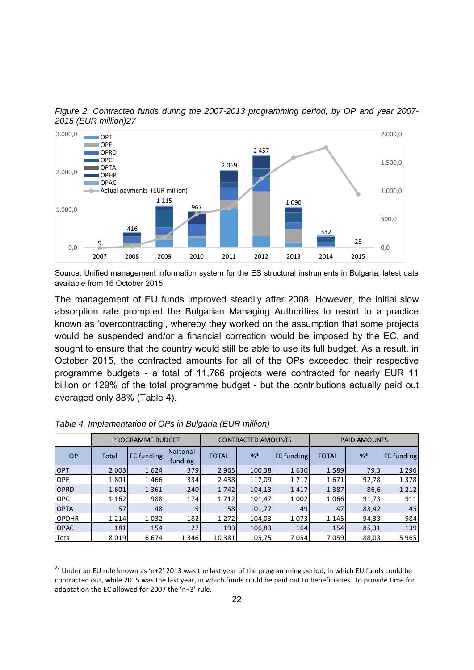*Figure 2. Contracted funds during the 2007-2013 programming period, by OP and year 2007- 2015 (EUR million)27* 



Source: Unified management information system for the ES structural instruments in Bulgaria, latest data available from 16 October 2015.

The management of EU funds improved steadily after 2008. However, the initial slow absorption rate prompted the Bulgarian Managing Authorities to resort to a practice known as 'overcontracting', whereby they worked on the assumption that some projects would be suspended and/or a financial correction would be imposed by the EC, and sought to ensure that the country would still be able to use its full budget. As a result, in October 2015, the contracted amounts for all of the OPs exceeded their respective programme budgets - a total of 11,766 projects were contracted for nearly EUR 11 billion or 129% of the total programme budget - but the contributions actually paid out averaged only 88% (Table 4).

|              |         | <b>PROGRAMME BUDGET</b> |                     |              | <b>CONTRACTED AMOUNTS</b> |            | <b>PAID AMOUNTS</b> |         |            |  |
|--------------|---------|-------------------------|---------------------|--------------|---------------------------|------------|---------------------|---------|------------|--|
| <b>OP</b>    | Total   | EC funding              | Naitonal<br>funding | <b>TOTAL</b> | $%^*$                     | EC funding | <b>TOTAL</b>        | $%$ $*$ | EC funding |  |
| <b>OPT</b>   | 2 0 0 3 | 1624                    | 379                 | 2 9 6 5      | 100,38                    | 1630       | 1 5 8 9             | 79,3    | 1 2 9 6    |  |
| <b>OPE</b>   | 1801    | 1466                    | 334                 | 2438         | 117,09                    | 1717       | 1671                | 92,78   | 1 3 7 8    |  |
| <b>OPRD</b>  | 1601    | 1 3 6 1                 | 240                 | 1742         | 104,13                    | 1417       | 1 3 8 7             | 86,6    | 1 2 1 2    |  |
| <b>OPC</b>   | 1 1 6 2 | 988                     | 174                 | 1712         | 101,47                    | 1 0 0 2    | 1066                | 91,73   | 911        |  |
| <b>OPTA</b>  | 57      | 48                      | 9                   | 58           | 101,77                    | 49         | 47                  | 83,42   | 45         |  |
| <b>OPDHR</b> | 1 2 1 4 | 1032                    | 182                 | 1 2 7 2      | 104,03                    | 1073       | 1 1 4 5             | 94,33   | 984        |  |
| <b>OPAC</b>  | 181     | 154                     | 27                  | 193          | 106,83                    | 164        | 154                 | 85,31   | 139        |  |
| Total        | 8019    | 6674                    | 1 3 4 6             | 10 3 8 1     | 105,75                    | 7054       | 7059                | 88,03   | 5965       |  |

|  |  | Table 4. Implementation of OPs in Bulgaria (EUR million) |  |
|--|--|----------------------------------------------------------|--|
|  |  |                                                          |  |

 $^{27}$  Under an EU rule known as 'n+2' 2013 was the last year of the programming period, in which EU funds could be contracted out, while 2015 was the last year, in which funds could be paid out to beneficiaries. To provide time for adaptation the EC allowed for 2007 the 'n+3' rule.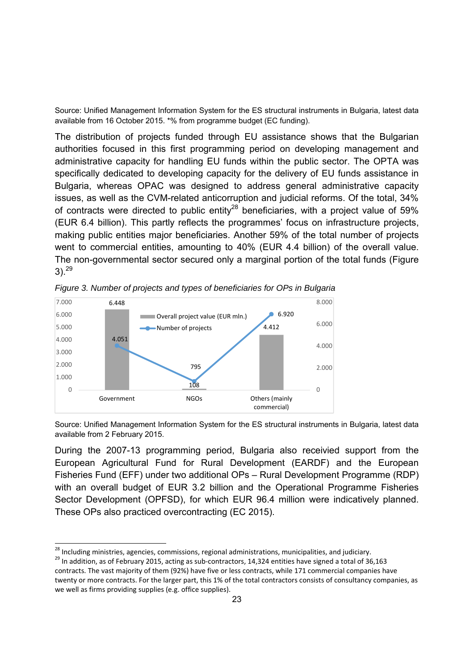Source: Unified Management Information System for the ES structural instruments in Bulgaria, latest data available from 16 October 2015. \*% from programme budget (EC funding).

The distribution of projects funded through EU assistance shows that the Bulgarian authorities focused in this first programming period on developing management and administrative capacity for handling EU funds within the public sector. The OPTA was specifically dedicated to developing capacity for the delivery of EU funds assistance in Bulgaria, whereas OPAC was designed to address general administrative capacity issues, as well as the CVM-related anticorruption and judicial reforms. Of the total, 34% of contracts were directed to public entity<sup>28</sup> beneficiaries, with a project value of 59% (EUR 6.4 billion). This partly reflects the programmes' focus on infrastructure projects, making public entities major beneficiaries. Another 59% of the total number of projects went to commercial entities, amounting to 40% (EUR 4.4 billion) of the overall value. The non-governmental sector secured only a marginal portion of the total funds (Figure  $3)$ <sup>29</sup>



*Figure 3. Number of projects and types of beneficiaries for OPs in Bulgaria*

Source: Unified Management Information System for the ES structural instruments in Bulgaria, latest data available from 2 February 2015.

During the 2007-13 programming period, Bulgaria also receivied support from the European Agricultural Fund for Rural Development (EARDF) and the European Fisheries Fund (EFF) under two additional OPs – Rural Development Programme (RDP) with an overall budget of EUR 3.2 billion and the Operational Programme Fisheries Sector Development (OPFSD), for which EUR 96.4 million were indicatively planned. These OPs also practiced overcontracting (EC 2015).

-

<sup>&</sup>lt;sup>28</sup> Including ministries, agencies, commissions, regional administrations, municipalities, and judiciary.<br><sup>29</sup> In addition, as of February 2015, acting as sub-contractors, 14,324 entities have signed a total of 36,163 contracts. The vast majority of them (92%) have five or less contracts, while 171 commercial companies have twenty or more contracts. For the larger part, this 1% of the total contractors consists of consultancy companies, as we well as firms providing supplies (e.g. office supplies).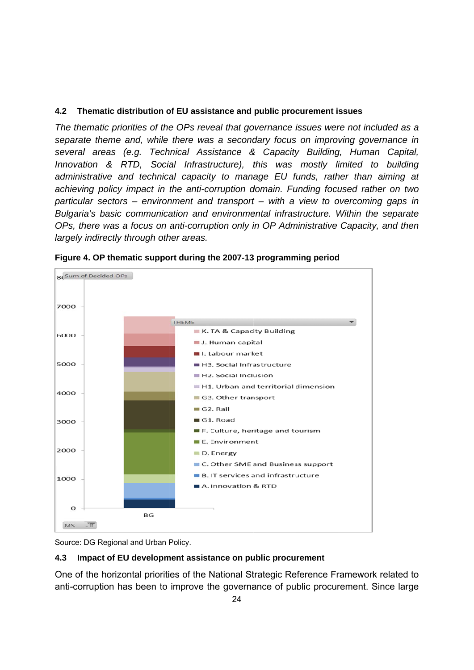### **4.2 Th hematic dis stribution o of EU assis stance and public proc curement i ssues**

*The thematic priorities of the OPs reveal that governance issues were not included as a* separate theme and, while there was a secondary focus on improving governance in several areas (e.g. Technical Assistance & Capacity Building, Human Capital, Innovation & RTD, Social Infrastructure), this was mostly limited to building administrative and technical capacity to manage EU funds, rather than aiming at achieving policy impact in the anti-corruption domain. Funding focused rather on two *particular sectors – environment and transport – with a view to overcoming gaps in Bulgaria's basic communication and environmental infrastructure. Within the separate OPs, there was a focus on anti-corruption only in OP Administrative Capacity, and then largely indirectly t through oth her areas.* 





Source: DG Regional and Urban Policy.

#### **4.3 Im** mpact of EU development assistance on public procurement

One of the horizontal priorities of the National Strategic Reference Framework related to anti-corruption has been to improve the governance of public procurement. Since large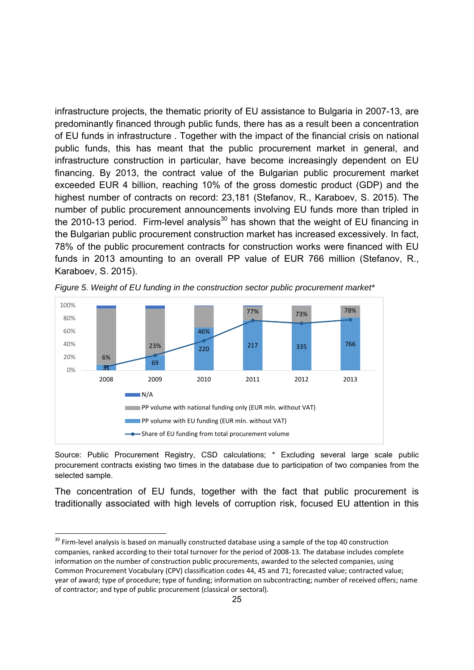infrastructure projects, the thematic priority of EU assistance to Bulgaria in 2007-13, are predominantly financed through public funds, there has as a result been a concentration of EU funds in infrastructure . Together with the impact of the financial crisis on national public funds, this has meant that the public procurement market in general, and infrastructure construction in particular, have become increasingly dependent on EU financing. By 2013, the contract value of the Bulgarian public procurement market exceeded EUR 4 billion, reaching 10% of the gross domestic product (GDP) and the highest number of contracts on record: 23,181 (Stefanov, R., Karaboev, S. 2015). The number of public procurement announcements involving EU funds more than tripled in the 2010-13 period. Firm-level analysis<sup>30</sup> has shown that the weight of EU financing in the Bulgarian public procurement construction market has increased excessively. In fact, 78% of the public procurement contracts for construction works were financed with EU funds in 2013 amounting to an overall PP value of EUR 766 million (Stefanov, R., Karaboev, S. 2015).



*Figure 5. Weight of EU funding in the construction sector public procurement market\**

Source: Public Procurement Registry, CSD calculations; \* Excluding several large scale public procurement contracts existing two times in the database due to participation of two companies from the selected sample.

The concentration of EU funds, together with the fact that public procurement is traditionally associated with high levels of corruption risk, focused EU attention in this

<sup>&</sup>lt;sup>30</sup> Firm-level analysis is based on manually constructed database using a sample of the top 40 construction companies, ranked according to their total turnover for the period of 2008‐13. The database includes complete information on the number of construction public procurements, awarded to the selected companies, using Common Procurement Vocabulary (CPV) classification codes 44, 45 and 71; forecasted value; contracted value; year of award; type of procedure; type of funding; information on subcontracting; number of received offers; name of contractor; and type of public procurement (classical or sectoral).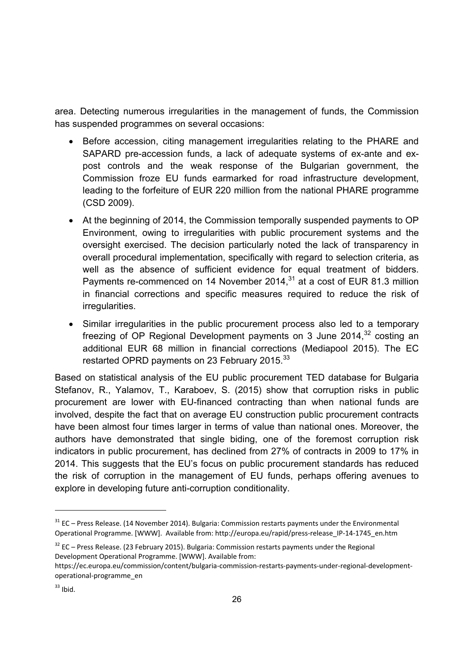area. Detecting numerous irregularities in the management of funds, the Commission has suspended programmes on several occasions:

- Before accession, citing management irregularities relating to the PHARE and SAPARD pre-accession funds, a lack of adequate systems of ex-ante and expost controls and the weak response of the Bulgarian government, the Commission froze EU funds earmarked for road infrastructure development, leading to the forfeiture of EUR 220 million from the national PHARE programme (CSD 2009).
- At the beginning of 2014, the Commission temporally suspended payments to OP Environment, owing to irregularities with public procurement systems and the oversight exercised. The decision particularly noted the lack of transparency in overall procedural implementation, specifically with regard to selection criteria, as well as the absence of sufficient evidence for equal treatment of bidders. Payments re-commenced on 14 November 2014, $31$  at a cost of EUR 81.3 million in financial corrections and specific measures required to reduce the risk of irregularities.
- Similar irregularities in the public procurement process also led to a temporary freezing of OP Regional Development payments on 3 June  $2014$ ,  $32$  costing an additional EUR 68 million in financial corrections (Mediapool 2015). The EC restarted OPRD payments on 23 February 2015.<sup>33</sup>

Based on statistical analysis of the EU public procurement TED database for Bulgaria Stefanov, R., Yalamov, T., Karaboev, S. (2015) show that corruption risks in public procurement are lower with EU-financed contracting than when national funds are involved, despite the fact that on average EU construction public procurement contracts have been almost four times larger in terms of value than national ones. Moreover, the authors have demonstrated that single biding, one of the foremost corruption risk indicators in public procurement, has declined from 27% of contracts in 2009 to 17% in 2014. This suggests that the EU's focus on public procurement standards has reduced the risk of corruption in the management of EU funds, perhaps offering avenues to explore in developing future anti-corruption conditionality.

-

<sup>&</sup>lt;sup>31</sup> EC – Press Release. (14 November 2014). Bulgaria: Commission restarts payments under the Environmental Operational Programme. [WWW]. Available from: http://europa.eu/rapid/press-release IP-14-1745 en.htm

 $32$  EC – Press Release. (23 February 2015). Bulgaria: Commission restarts payments under the Regional Development Operational Programme. [WWW]. Available from:

https://ec.europa.eu/commission/content/bulgaria‐commission‐restarts‐payments‐under‐regional‐development‐ operational‐programme\_en

 $33$  Ibid.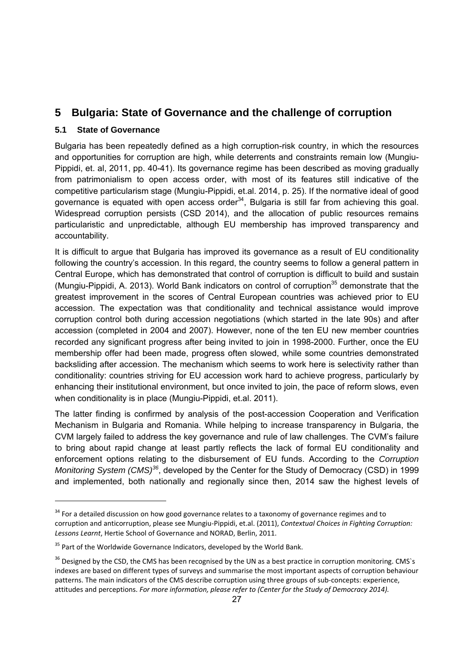### **5 Bulgaria: State of Governance and the challenge of corruption**

#### **5.1 State of Governance**

1

Bulgaria has been repeatedly defined as a high corruption-risk country, in which the resources and opportunities for corruption are high, while deterrents and constraints remain low (Mungiu-Pippidi, et. al, 2011, pp. 40-41). Its governance regime has been described as moving gradually from patrimonialism to open access order, with most of its features still indicative of the competitive particularism stage (Mungiu-Pippidi, et.al. 2014, p. 25). If the normative ideal of good governance is equated with open access order $34$ , Bulgaria is still far from achieving this goal. Widespread corruption persists (CSD 2014), and the allocation of public resources remains particularistic and unpredictable, although EU membership has improved transparency and accountability.

It is difficult to argue that Bulgaria has improved its governance as a result of EU conditionality following the country's accession. In this regard, the country seems to follow a general pattern in Central Europe, which has demonstrated that control of corruption is difficult to build and sustain (Mungiu-Pippidi, A. 2013). World Bank indicators on control of corruption<sup>35</sup> demonstrate that the greatest improvement in the scores of Central European countries was achieved prior to EU accession. The expectation was that conditionality and technical assistance would improve corruption control both during accession negotiations (which started in the late 90s) and after accession (completed in 2004 and 2007). However, none of the ten EU new member countries recorded any significant progress after being invited to join in 1998-2000. Further, once the EU membership offer had been made, progress often slowed, while some countries demonstrated backsliding after accession. The mechanism which seems to work here is selectivity rather than conditionality: countries striving for EU accession work hard to achieve progress, particularly by enhancing their institutional environment, but once invited to join, the pace of reform slows, even when conditionality is in place (Mungiu-Pippidi, et.al. 2011).

The latter finding is confirmed by analysis of the post-accession Cooperation and Verification Mechanism in Bulgaria and Romania. While helping to increase transparency in Bulgaria, the CVM largely failed to address the key governance and rule of law challenges. The CVM's failure to bring about rapid change at least partly reflects the lack of formal EU conditionality and enforcement options relating to the disbursement of EU funds. According to the *Corruption Monitoring System (CMS)<sup>36</sup>*, developed by the Center for the Study of Democracy (CSD) in 1999 and implemented, both nationally and regionally since then, 2014 saw the highest levels of

 $34$  For a detailed discussion on how good governance relates to a taxonomy of governance regimes and to corruption and anticorruption, please see Mungiu‐Pippidi, et.al. (2011), *Contextual Choices in Fighting Corruption: Lessons Learnt*, Hertie School of Governance and NORAD, Berlin, 2011.

 $35$  Part of the Worldwide Governance Indicators, developed by the World Bank.

<sup>&</sup>lt;sup>36</sup> Designed by the CSD, the CMS has been recognised by the UN as a best practice in corruption monitoring. CMS`s indexes are based on different types of surveys and summarise the most important aspects of corruption behaviour patterns. The main indicators of the CMS describe corruption using three groups of sub-concepts: experience, attitudes and perceptions. *For more information, please refer to (Center for the Study of Democracy 2014).*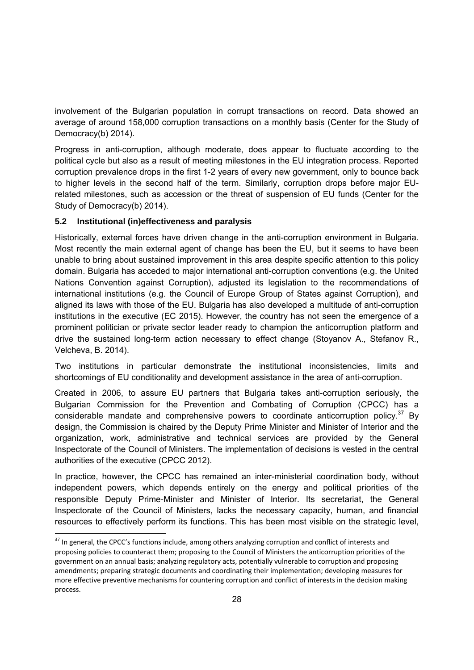involvement of the Bulgarian population in corrupt transactions on record. Data showed an average of around 158,000 corruption transactions on a monthly basis (Center for the Study of Democracy(b) 2014).

Progress in anti-corruption, although moderate, does appear to fluctuate according to the political cycle but also as a result of meeting milestones in the EU integration process. Reported corruption prevalence drops in the first 1-2 years of every new government, only to bounce back to higher levels in the second half of the term. Similarly, corruption drops before major EUrelated milestones, such as accession or the threat of suspension of EU funds (Center for the Study of Democracy(b) 2014).

#### **5.2 Institutional (in)effectiveness and paralysis**

1

Historically, external forces have driven change in the anti-corruption environment in Bulgaria. Most recently the main external agent of change has been the EU, but it seems to have been unable to bring about sustained improvement in this area despite specific attention to this policy domain. Bulgaria has acceded to major international anti-corruption conventions (e.g. the United Nations Convention against Corruption), adjusted its legislation to the recommendations of international institutions (e.g. the Council of Europe Group of States against Corruption), and aligned its laws with those of the EU. Bulgaria has also developed a multitude of anti-corruption institutions in the executive (EC 2015). However, the country has not seen the emergence of a prominent politician or private sector leader ready to champion the anticorruption platform and drive the sustained long-term action necessary to effect change (Stoyanov A., Stefanov R., Velcheva, B. 2014).

Two institutions in particular demonstrate the institutional inconsistencies, limits and shortcomings of EU conditionality and development assistance in the area of anti-corruption.

Created in 2006, to assure EU partners that Bulgaria takes anti-corruption seriously, the Bulgarian Commission for the Prevention and Combating of Corruption (CPCC) has a considerable mandate and comprehensive powers to coordinate anticorruption policy.<sup>37</sup> By design, the Commission is chaired by the Deputy Prime Minister and Minister of Interior and the organization, work, administrative and technical services are provided by the General Inspectorate of the Council of Ministers. The implementation of decisions is vested in the central authorities of the executive (CPCC 2012).

In practice, however, the CPCC has remained an inter-ministerial coordination body, without independent powers, which depends entirely on the energy and political priorities of the responsible Deputy Prime-Minister and Minister of Interior. Its secretariat, the General Inspectorate of the Council of Ministers, lacks the necessary capacity, human, and financial resources to effectively perform its functions. This has been most visible on the strategic level,

 $37$  In general, the CPCC's functions include, among others analyzing corruption and conflict of interests and proposing policies to counteract them; proposing to the Council of Ministers the anticorruption priorities of the government on an annual basis; analyzing regulatory acts, potentially vulnerable to corruption and proposing amendments; preparing strategic documents and coordinating their implementation; developing measures for more effective preventive mechanisms for countering corruption and conflict of interests in the decision making process.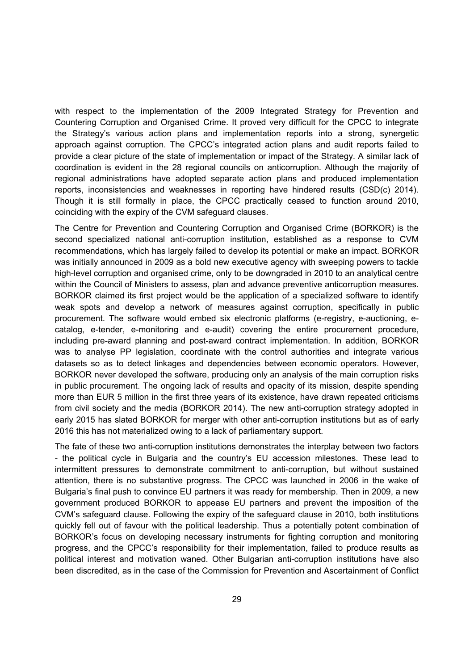with respect to the implementation of the 2009 Integrated Strategy for Prevention and Countering Corruption and Organised Crime. It proved very difficult for the CPCC to integrate the Strategy's various action plans and implementation reports into a strong, synergetic approach against corruption. The CPCC's integrated action plans and audit reports failed to provide a clear picture of the state of implementation or impact of the Strategy. A similar lack of coordination is evident in the 28 regional councils on anticorruption. Although the majority of regional administrations have adopted separate action plans and produced implementation reports, inconsistencies and weaknesses in reporting have hindered results (CSD(c) 2014). Though it is still formally in place, the CPCC practically ceased to function around 2010, coinciding with the expiry of the CVM safeguard clauses.

The Centre for Prevention and Countering Corruption and Organised Crime (BORKOR) is the second specialized national anti-corruption institution, established as a response to CVM recommendations, which has largely failed to develop its potential or make an impact. BORKOR was initially announced in 2009 as a bold new executive agency with sweeping powers to tackle high-level corruption and organised crime, only to be downgraded in 2010 to an analytical centre within the Council of Ministers to assess, plan and advance preventive anticorruption measures. BORKOR claimed its first project would be the application of a specialized software to identify weak spots and develop a network of measures against corruption, specifically in public procurement. The software would embed six electronic platforms (e-registry, e-auctioning, ecatalog, e-tender, e-monitoring and e-audit) covering the entire procurement procedure, including pre-award planning and post-award contract implementation. In addition, BORKOR was to analyse PP legislation, coordinate with the control authorities and integrate various datasets so as to detect linkages and dependencies between economic operators. However, BORKOR never developed the software, producing only an analysis of the main corruption risks in public procurement. The ongoing lack of results and opacity of its mission, despite spending more than EUR 5 million in the first three years of its existence, have drawn repeated criticisms from civil society and the media (BORKOR 2014). The new anti-corruption strategy adopted in early 2015 has slated BORKOR for merger with other anti-corruption institutions but as of early 2016 this has not materialized owing to a lack of parliamentary support.

The fate of these two anti-corruption institutions demonstrates the interplay between two factors - the political cycle in Bulgaria and the country's EU accession milestones. These lead to intermittent pressures to demonstrate commitment to anti-corruption, but without sustained attention, there is no substantive progress. The CPCC was launched in 2006 in the wake of Bulgaria's final push to convince EU partners it was ready for membership. Then in 2009, a new government produced BORKOR to appease EU partners and prevent the imposition of the CVM's safeguard clause. Following the expiry of the safeguard clause in 2010, both institutions quickly fell out of favour with the political leadership. Thus a potentially potent combination of BORKOR's focus on developing necessary instruments for fighting corruption and monitoring progress, and the CPCC's responsibility for their implementation, failed to produce results as political interest and motivation waned. Other Bulgarian anti-corruption institutions have also been discredited, as in the case of the Commission for Prevention and Ascertainment of Conflict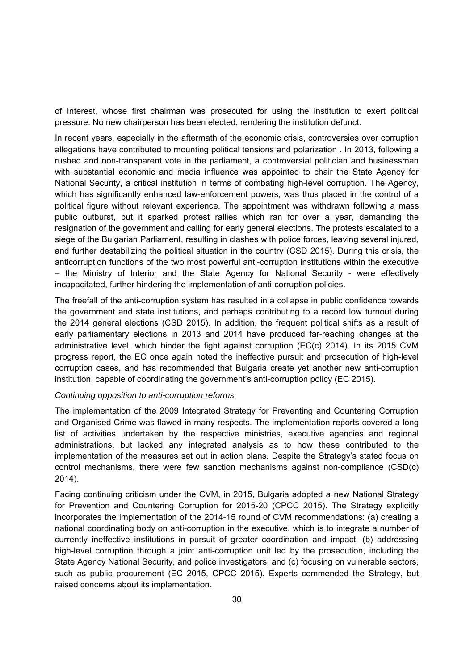of Interest, whose first chairman was prosecuted for using the institution to exert political pressure. No new chairperson has been elected, rendering the institution defunct.

In recent years, especially in the aftermath of the economic crisis, controversies over corruption allegations have contributed to mounting political tensions and polarization . In 2013, following a rushed and non-transparent vote in the parliament, a controversial politician and businessman with substantial economic and media influence was appointed to chair the State Agency for National Security, a critical institution in terms of combating high-level corruption. The Agency, which has significantly enhanced law-enforcement powers, was thus placed in the control of a political figure without relevant experience. The appointment was withdrawn following a mass public outburst, but it sparked protest rallies which ran for over a year, demanding the resignation of the government and calling for early general elections. The protests escalated to a siege of the Bulgarian Parliament, resulting in clashes with police forces, leaving several injured, and further destabilizing the political situation in the country (CSD 2015). During this crisis, the anticorruption functions of the two most powerful anti-corruption institutions within the executive – the Ministry of Interior and the State Agency for National Security - were effectively incapacitated, further hindering the implementation of anti-corruption policies.

The freefall of the anti-corruption system has resulted in a collapse in public confidence towards the government and state institutions, and perhaps contributing to a record low turnout during the 2014 general elections (CSD 2015). In addition, the frequent political shifts as a result of early parliamentary elections in 2013 and 2014 have produced far-reaching changes at the administrative level, which hinder the fight against corruption (EC(c) 2014). In its 2015 CVM progress report, the EC once again noted the ineffective pursuit and prosecution of high-level corruption cases, and has recommended that Bulgaria create yet another new anti-corruption institution, capable of coordinating the government's anti-corruption policy (EC 2015).

#### *Continuing opposition to anti-corruption reforms*

The implementation of the 2009 Integrated Strategy for Preventing and Countering Corruption and Organised Crime was flawed in many respects. The implementation reports covered a long list of activities undertaken by the respective ministries, executive agencies and regional administrations, but lacked any integrated analysis as to how these contributed to the implementation of the measures set out in action plans. Despite the Strategy's stated focus on control mechanisms, there were few sanction mechanisms against non-compliance (CSD(c) 2014).

Facing continuing criticism under the CVM, in 2015, Bulgaria adopted a new National Strategy for Prevention and Countering Corruption for 2015-20 (CPCC 2015). The Strategy explicitly incorporates the implementation of the 2014-15 round of CVM recommendations: (a) creating a national coordinating body on anti-corruption in the executive, which is to integrate a number of currently ineffective institutions in pursuit of greater coordination and impact; (b) addressing high-level corruption through a joint anti-corruption unit led by the prosecution, including the State Agency National Security, and police investigators; and (c) focusing on vulnerable sectors, such as public procurement (EC 2015, CPCC 2015). Experts commended the Strategy, but raised concerns about its implementation.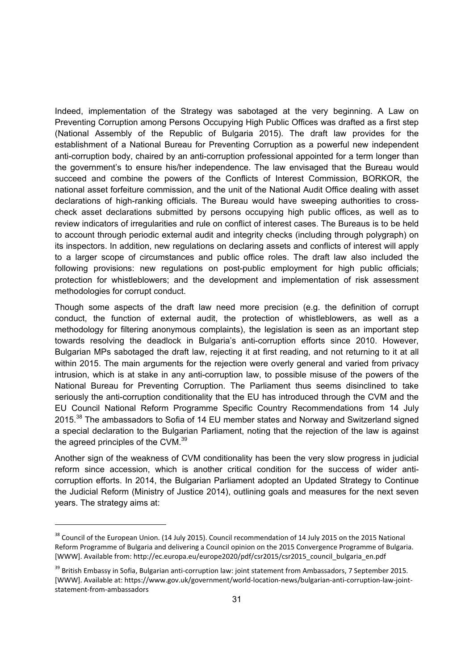Indeed, implementation of the Strategy was sabotaged at the very beginning. A Law on Preventing Corruption among Persons Occupying High Public Offices was drafted as a first step (National Assembly of the Republic of Bulgaria 2015). The draft law provides for the establishment of a National Bureau for Preventing Corruption as a powerful new independent anti-corruption body, chaired by an anti-corruption professional appointed for a term longer than the government's to ensure his/her independence. The law envisaged that the Bureau would succeed and combine the powers of the Conflicts of Interest Commission, BORKOR, the national asset forfeiture commission, and the unit of the National Audit Office dealing with asset declarations of high-ranking officials. The Bureau would have sweeping authorities to crosscheck asset declarations submitted by persons occupying high public offices, as well as to review indicators of irregularities and rule on conflict of interest cases. The Bureaus is to be held to account through periodic external audit and integrity checks (including through polygraph) on its inspectors. In addition, new regulations on declaring assets and conflicts of interest will apply to a larger scope of circumstances and public office roles. The draft law also included the following provisions: new regulations on post-public employment for high public officials; protection for whistleblowers; and the development and implementation of risk assessment methodologies for corrupt conduct.

Though some aspects of the draft law need more precision (e.g. the definition of corrupt conduct, the function of external audit, the protection of whistleblowers, as well as a methodology for filtering anonymous complaints), the legislation is seen as an important step towards resolving the deadlock in Bulgaria's anti-corruption efforts since 2010. However, Bulgarian MPs sabotaged the draft law, rejecting it at first reading, and not returning to it at all within 2015. The main arguments for the rejection were overly general and varied from privacy intrusion, which is at stake in any anti-corruption law, to possible misuse of the powers of the National Bureau for Preventing Corruption. The Parliament thus seems disinclined to take seriously the anti-corruption conditionality that the EU has introduced through the CVM and the EU Council National Reform Programme Specific Country Recommendations from 14 July 2015.<sup>38</sup> The ambassadors to Sofia of 14 EU member states and Norway and Switzerland signed a special declaration to the Bulgarian Parliament, noting that the rejection of the law is against the agreed principles of the CVM.<sup>39</sup>

Another sign of the weakness of CVM conditionality has been the very slow progress in judicial reform since accession, which is another critical condition for the success of wider anticorruption efforts. In 2014, the Bulgarian Parliament adopted an Updated Strategy to Continue the Judicial Reform (Ministry of Justice 2014), outlining goals and measures for the next seven years. The strategy aims at:

<sup>&</sup>lt;sup>38</sup> Council of the European Union. (14 July 2015). Council recommendation of 14 July 2015 on the 2015 National Reform Programme of Bulgaria and delivering a Council opinion on the 2015 Convergence Programme of Bulgaria. [WWW]. Available from: http://ec.europa.eu/europe2020/pdf/csr2015/csr2015\_council\_bulgaria\_en.pdf

<sup>&</sup>lt;sup>39</sup> British Embassy in Sofia, Bulgarian anti-corruption law: joint statement from Ambassadors, 7 September 2015. [WWW]. Available at: https://www.gov.uk/government/world‐location‐news/bulgarian‐anti‐corruption‐law‐joint‐ statement‐from‐ambassadors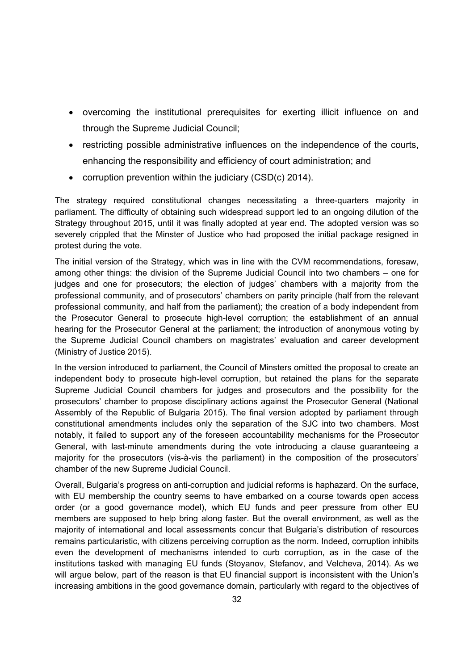- overcoming the institutional prerequisites for exerting illicit influence on and through the Supreme Judicial Council;
- restricting possible administrative influences on the independence of the courts, enhancing the responsibility and efficiency of court administration; and
- corruption prevention within the judiciary (CSD(c) 2014).

The strategy required constitutional changes necessitating a three-quarters majority in parliament. The difficulty of obtaining such widespread support led to an ongoing dilution of the Strategy throughout 2015, until it was finally adopted at year end. The adopted version was so severely crippled that the Minster of Justice who had proposed the initial package resigned in protest during the vote.

The initial version of the Strategy, which was in line with the CVM recommendations, foresaw, among other things: the division of the Supreme Judicial Council into two chambers – one for judges and one for prosecutors; the election of judges' chambers with a majority from the professional community, and of prosecutors' chambers on parity principle (half from the relevant professional community, and half from the parliament); the creation of a body independent from the Prosecutor General to prosecute high-level corruption; the establishment of an annual hearing for the Prosecutor General at the parliament; the introduction of anonymous voting by the Supreme Judicial Council chambers on magistrates' evaluation and career development (Ministry of Justice 2015).

In the version introduced to parliament, the Council of Minsters omitted the proposal to create an independent body to prosecute high-level corruption, but retained the plans for the separate Supreme Judicial Council chambers for judges and prosecutors and the possibility for the prosecutors' chamber to propose disciplinary actions against the Prosecutor General (National Assembly of the Republic of Bulgaria 2015). The final version adopted by parliament through constitutional amendments includes only the separation of the SJC into two chambers. Most notably, it failed to support any of the foreseen accountability mechanisms for the Prosecutor General, with last-minute amendments during the vote introducing a clause guaranteeing a majority for the prosecutors (vis-à-vis the parliament) in the composition of the prosecutors' chamber of the new Supreme Judicial Council.

Overall, Bulgaria's progress on anti-corruption and judicial reforms is haphazard. On the surface, with EU membership the country seems to have embarked on a course towards open access order (or a good governance model), which EU funds and peer pressure from other EU members are supposed to help bring along faster. But the overall environment, as well as the majority of international and local assessments concur that Bulgaria's distribution of resources remains particularistic, with citizens perceiving corruption as the norm. Indeed, corruption inhibits even the development of mechanisms intended to curb corruption, as in the case of the institutions tasked with managing EU funds (Stoyanov, Stefanov, and Velcheva, 2014). As we will argue below, part of the reason is that EU financial support is inconsistent with the Union's increasing ambitions in the good governance domain, particularly with regard to the objectives of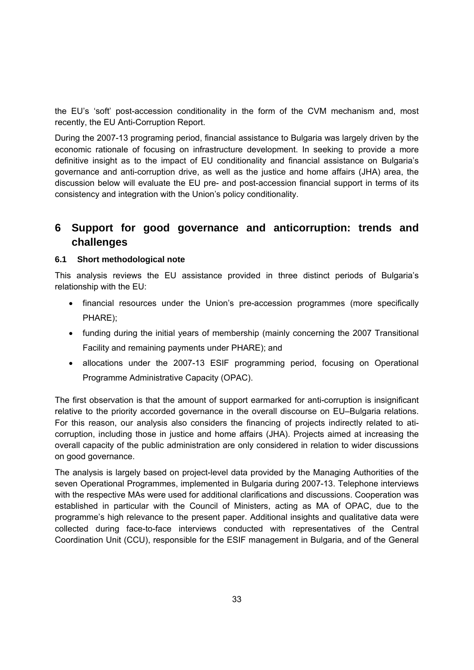the EU's 'soft' post-accession conditionality in the form of the CVM mechanism and, most recently, the EU Anti-Corruption Report.

During the 2007-13 programing period, financial assistance to Bulgaria was largely driven by the economic rationale of focusing on infrastructure development. In seeking to provide a more definitive insight as to the impact of EU conditionality and financial assistance on Bulgaria's governance and anti-corruption drive, as well as the justice and home affairs (JHA) area, the discussion below will evaluate the EU pre- and post-accession financial support in terms of its consistency and integration with the Union's policy conditionality.

### **6 Support for good governance and anticorruption: trends and challenges**

#### **6.1 Short methodological note**

This analysis reviews the EU assistance provided in three distinct periods of Bulgaria's relationship with the EU:

- financial resources under the Union's pre-accession programmes (more specifically PHARE);
- funding during the initial years of membership (mainly concerning the 2007 Transitional Facility and remaining payments under PHARE); and
- allocations under the 2007-13 ESIF programming period, focusing on Operational Programme Administrative Capacity (OPAC).

The first observation is that the amount of support earmarked for anti-corruption is insignificant relative to the priority accorded governance in the overall discourse on EU–Bulgaria relations. For this reason, our analysis also considers the financing of projects indirectly related to aticorruption, including those in justice and home affairs (JHA). Projects aimed at increasing the overall capacity of the public administration are only considered in relation to wider discussions on good governance.

The analysis is largely based on project-level data provided by the Managing Authorities of the seven Operational Programmes, implemented in Bulgaria during 2007-13. Telephone interviews with the respective MAs were used for additional clarifications and discussions. Cooperation was established in particular with the Council of Ministers, acting as MA of OPAC, due to the programme's high relevance to the present paper. Additional insights and qualitative data were collected during face-to-face interviews conducted with representatives of the Central Coordination Unit (CCU), responsible for the ESIF management in Bulgaria, and of the General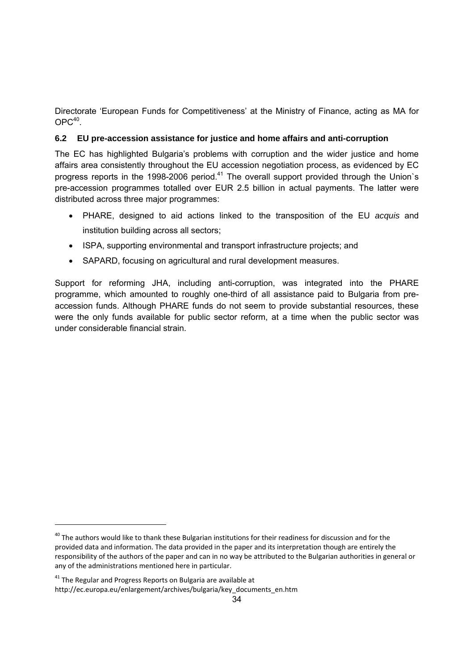Directorate 'European Funds for Competitiveness' at the Ministry of Finance, acting as MA for  $OPC^{40}$ 

#### **6.2 EU pre-accession assistance for justice and home affairs and anti-corruption**

The EC has highlighted Bulgaria's problems with corruption and the wider justice and home affairs area consistently throughout the EU accession negotiation process, as evidenced by EC progress reports in the 1998-2006 period.<sup>41</sup> The overall support provided through the Union's pre-accession programmes totalled over EUR 2.5 billion in actual payments. The latter were distributed across three major programmes:

- PHARE, designed to aid actions linked to the transposition of the EU *acquis* and institution building across all sectors;
- ISPA, supporting environmental and transport infrastructure projects; and
- SAPARD, focusing on agricultural and rural development measures.

Support for reforming JHA, including anti-corruption, was integrated into the PHARE programme, which amounted to roughly one-third of all assistance paid to Bulgaria from preaccession funds. Although PHARE funds do not seem to provide substantial resources, these were the only funds available for public sector reform, at a time when the public sector was under considerable financial strain.

<sup>&</sup>lt;sup>40</sup> The authors would like to thank these Bulgarian institutions for their readiness for discussion and for the provided data and information. The data provided in the paper and its interpretation though are entirely the responsibility of the authors of the paper and can in no way be attributed to the Bulgarian authorities in general or any of the administrations mentioned here in particular.

 $41$  The Regular and Progress Reports on Bulgaria are available at

http://ec.europa.eu/enlargement/archives/bulgaria/key\_documents\_en.htm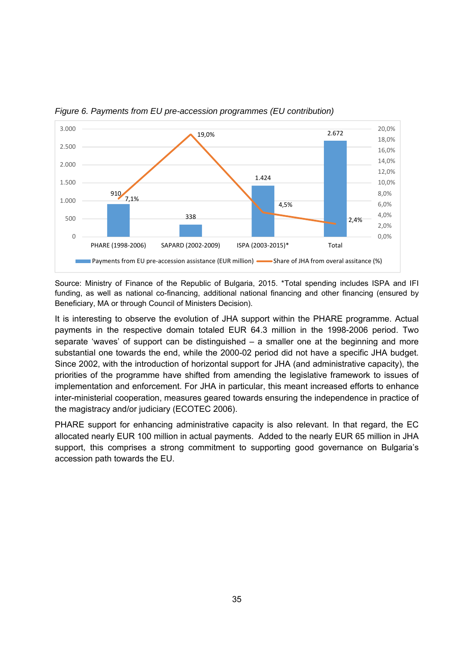

*Figure 6. Payments from EU pre-accession programmes (EU contribution)*

Source: Ministry of Finance of the Republic of Bulgaria, 2015. \*Total spending includes ISPA and IFI funding, as well as national co-financing, additional national financing and other financing (ensured by Beneficiary, MA or through Council of Ministers Decision).

It is interesting to observe the evolution of JHA support within the PHARE programme. Actual payments in the respective domain totaled EUR 64.3 million in the 1998-2006 period. Two separate 'waves' of support can be distinguished – a smaller one at the beginning and more substantial one towards the end, while the 2000-02 period did not have a specific JHA budget. Since 2002, with the introduction of horizontal support for JHA (and administrative capacity), the priorities of the programme have shifted from amending the legislative framework to issues of implementation and enforcement. For JHA in particular, this meant increased efforts to enhance inter-ministerial cooperation, measures geared towards ensuring the independence in practice of the magistracy and/or judiciary (ECOTEC 2006).

PHARE support for enhancing administrative capacity is also relevant. In that regard, the EC allocated nearly EUR 100 million in actual payments. Added to the nearly EUR 65 million in JHA support, this comprises a strong commitment to supporting good governance on Bulgaria's accession path towards the EU.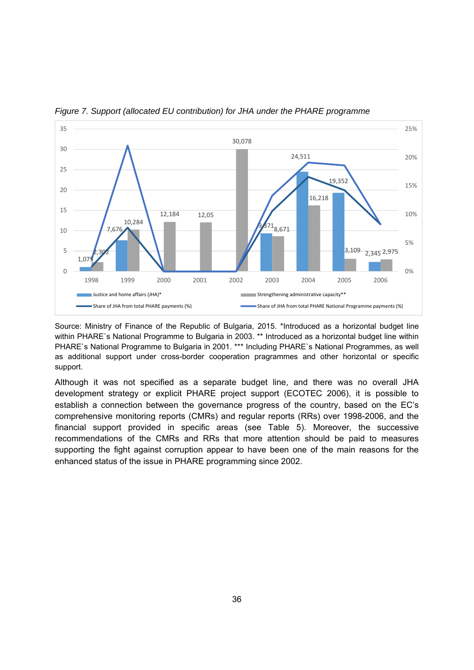

*Figure 7. Support (allocated EU contribution) for JHA under the PHARE programme*

Source: Ministry of Finance of the Republic of Bulgaria, 2015. \*Introduced as a horizontal budget line within PHARE`s National Programme to Bulgaria in 2003. \*\* Introduced as a horizontal budget line within PHARE`s National Programme to Bulgaria in 2001. \*\*\* Including PHARE`s National Programmes, as well as additional support under cross-border cooperation pragrammes and other horizontal or specific support.

Although it was not specified as a separate budget line, and there was no overall JHA development strategy or explicit PHARE project support (ECOTEC 2006), it is possible to establish a connection between the governance progress of the country, based on the EC's comprehensive monitoring reports (CMRs) and regular reports (RRs) over 1998-2006, and the financial support provided in specific areas (see Table 5). Moreover, the successive recommendations of the CMRs and RRs that more attention should be paid to measures supporting the fight against corruption appear to have been one of the main reasons for the enhanced status of the issue in PHARE programming since 2002.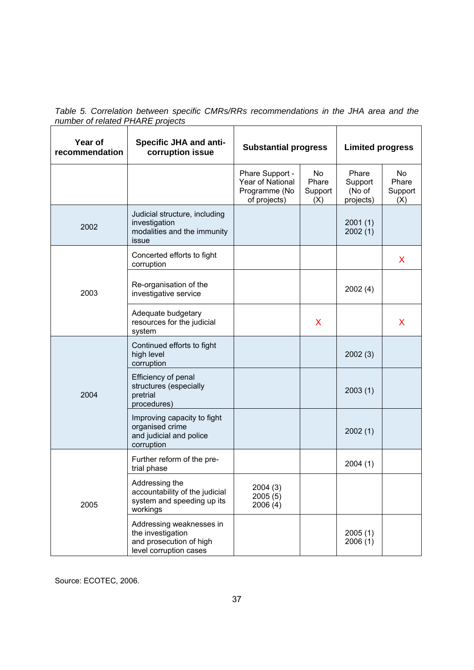*Table 5. Correlation between specific CMRs/RRs recommendations in the JHA area and the number of related PHARE projects*  $\overline{\phantom{0}}$ 

| Year of<br>recommendation | <b>Specific JHA and anti-</b><br>corruption issue                                                  | <b>Substantial progress</b>                                          |                               | <b>Limited progress</b>                 |                               |
|---------------------------|----------------------------------------------------------------------------------------------------|----------------------------------------------------------------------|-------------------------------|-----------------------------------------|-------------------------------|
|                           |                                                                                                    | Phare Support -<br>Year of National<br>Programme (No<br>of projects) | No<br>Phare<br>Support<br>(X) | Phare<br>Support<br>(No of<br>projects) | No<br>Phare<br>Support<br>(X) |
| 2002                      | Judicial structure, including<br>investigation<br>modalities and the immunity<br>issue             |                                                                      |                               | 2001(1)<br>2002(1)                      |                               |
| 2003                      | Concerted efforts to fight<br>corruption                                                           |                                                                      |                               |                                         | X                             |
|                           | Re-organisation of the<br>investigative service                                                    |                                                                      |                               | 2002(4)                                 |                               |
|                           | Adequate budgetary<br>resources for the judicial<br>system                                         |                                                                      | X                             |                                         | X                             |
| 2004                      | Continued efforts to fight<br>high level<br>corruption                                             |                                                                      |                               | 2002(3)                                 |                               |
|                           | Efficiency of penal<br>structures (especially<br>pretrial<br>procedures)                           |                                                                      |                               | 2003(1)                                 |                               |
|                           | Improving capacity to fight<br>organised crime<br>and judicial and police<br>corruption            |                                                                      |                               | 2002(1)                                 |                               |
| 2005                      | Further reform of the pre-<br>trial phase                                                          |                                                                      |                               | 2004(1)                                 |                               |
|                           | Addressing the<br>accountability of the judicial<br>system and speeding up its<br>workings         | 2004 (3)<br>2005(5)<br>2006(4)                                       |                               |                                         |                               |
|                           | Addressing weaknesses in<br>the investigation<br>and prosecution of high<br>level corruption cases |                                                                      |                               | 2005(1)<br>2006(1)                      |                               |

Source: ECOTEC, 2006.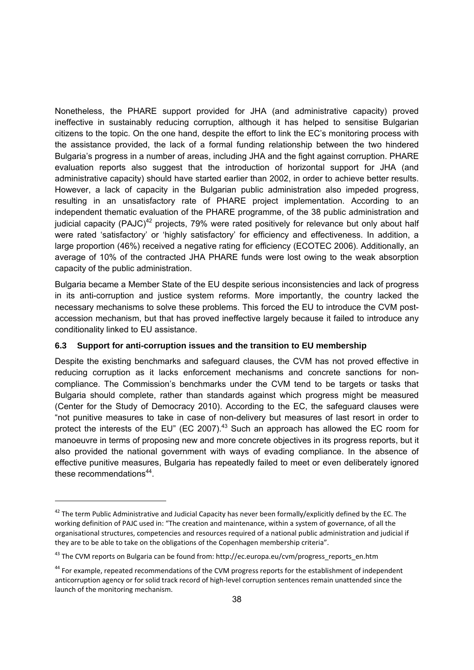Nonetheless, the PHARE support provided for JHA (and administrative capacity) proved ineffective in sustainably reducing corruption, although it has helped to sensitise Bulgarian citizens to the topic. On the one hand, despite the effort to link the EC's monitoring process with the assistance provided, the lack of a formal funding relationship between the two hindered Bulgaria's progress in a number of areas, including JHA and the fight against corruption. PHARE evaluation reports also suggest that the introduction of horizontal support for JHA (and administrative capacity) should have started earlier than 2002, in order to achieve better results. However, a lack of capacity in the Bulgarian public administration also impeded progress, resulting in an unsatisfactory rate of PHARE project implementation. According to an independent thematic evaluation of the PHARE programme, of the 38 public administration and judicial capacity (PAJC)<sup>42</sup> projects, 79% were rated positively for relevance but only about half were rated 'satisfactory' or 'highly satisfactory' for efficiency and effectiveness. In addition, a large proportion (46%) received a negative rating for efficiency (ECOTEC 2006). Additionally, an average of 10% of the contracted JHA PHARE funds were lost owing to the weak absorption capacity of the public administration.

Bulgaria became a Member State of the EU despite serious inconsistencies and lack of progress in its anti-corruption and justice system reforms. More importantly, the country lacked the necessary mechanisms to solve these problems. This forced the EU to introduce the CVM postaccession mechanism, but that has proved ineffective largely because it failed to introduce any conditionality linked to EU assistance.

#### **6.3 Support for anti-corruption issues and the transition to EU membership**

Despite the existing benchmarks and safeguard clauses, the CVM has not proved effective in reducing corruption as it lacks enforcement mechanisms and concrete sanctions for noncompliance. The Commission's benchmarks under the CVM tend to be targets or tasks that Bulgaria should complete, rather than standards against which progress might be measured (Center for the Study of Democracy 2010). According to the EC, the safeguard clauses were "not punitive measures to take in case of non-delivery but measures of last resort in order to protect the interests of the EU" (EC 2007). $43$  Such an approach has allowed the EC room for manoeuvre in terms of proposing new and more concrete objectives in its progress reports, but it also provided the national government with ways of evading compliance. In the absence of effective punitive measures, Bulgaria has repeatedly failed to meet or even deliberately ignored these recommendations $44$ .

 $42$  The term Public Administrative and Judicial Capacity has never been formally/explicitly defined by the EC. The working definition of PAJC used in: "The creation and maintenance, within a system of governance, of all the organisational structures, competencies and resources required of a national public administration and judicial if they are to be able to take on the obligations of the Copenhagen membership criteria".

<sup>&</sup>lt;sup>43</sup> The CVM reports on Bulgaria can be found from: http://ec.europa.eu/cvm/progress\_reports\_en.htm

<sup>&</sup>lt;sup>44</sup> For example, repeated recommendations of the CVM progress reports for the establishment of independent anticorruption agency or for solid track record of high-level corruption sentences remain unattended since the launch of the monitoring mechanism.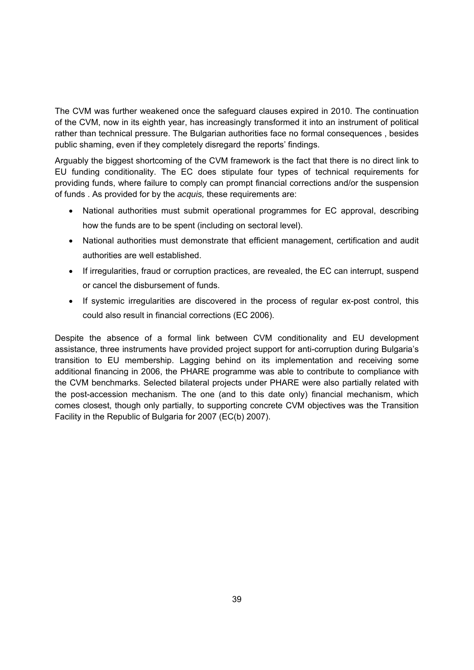The CVM was further weakened once the safeguard clauses expired in 2010. The continuation of the CVM, now in its eighth year, has increasingly transformed it into an instrument of political rather than technical pressure. The Bulgarian authorities face no formal consequences , besides public shaming, even if they completely disregard the reports' findings.

Arguably the biggest shortcoming of the CVM framework is the fact that there is no direct link to EU funding conditionality. The EC does stipulate four types of technical requirements for providing funds, where failure to comply can prompt financial corrections and/or the suspension of funds . As provided for by the *acquis,* these requirements are:

- National authorities must submit operational programmes for EC approval, describing how the funds are to be spent (including on sectoral level).
- National authorities must demonstrate that efficient management, certification and audit authorities are well established.
- If irregularities, fraud or corruption practices, are revealed, the EC can interrupt, suspend or cancel the disbursement of funds.
- If systemic irregularities are discovered in the process of regular ex-post control, this could also result in financial corrections (EC 2006).

Despite the absence of a formal link between CVM conditionality and EU development assistance, three instruments have provided project support for anti-corruption during Bulgaria's transition to EU membership. Lagging behind on its implementation and receiving some additional financing in 2006, the PHARE programme was able to contribute to compliance with the CVM benchmarks. Selected bilateral projects under PHARE were also partially related with the post-accession mechanism. The one (and to this date only) financial mechanism, which comes closest, though only partially, to supporting concrete CVM objectives was the Transition Facility in the Republic of Bulgaria for 2007 (EC(b) 2007).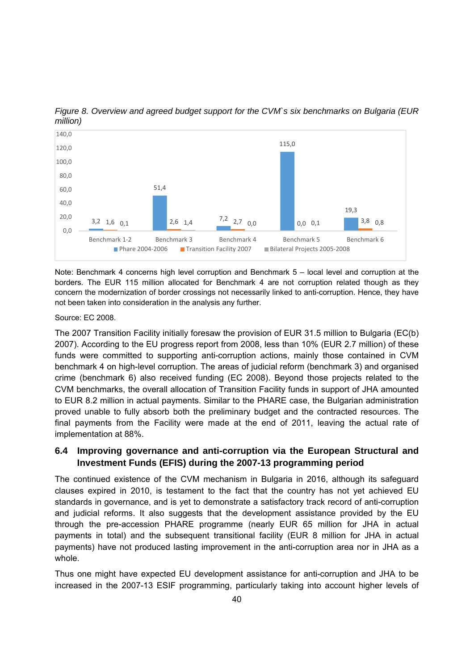

*Figure 8. Overview and agreed budget support for the CVM`s six benchmarks on Bulgaria (EUR million)*

Note: Benchmark 4 concerns high level corruption and Benchmark 5 – local level and corruption at the borders. The EUR 115 million allocated for Benchmark 4 are not corruption related though as they concern the modernization of border crossings not necessarily linked to anti-corruption. Hence, they have not been taken into consideration in the analysis any further.

Source: EC 2008.

The 2007 Transition Facility initially foresaw the provision of EUR 31.5 million to Bulgaria (EC(b) 2007). According to the EU progress report from 2008, less than 10% (EUR 2.7 million) of these funds were committed to supporting anti-corruption actions, mainly those contained in CVM benchmark 4 on high-level corruption. The areas of judicial reform (benchmark 3) and organised crime (benchmark 6) also received funding (EC 2008). Beyond those projects related to the CVM benchmarks, the overall allocation of Transition Facility funds in support of JHA amounted to EUR 8.2 million in actual payments. Similar to the PHARE case, the Bulgarian administration proved unable to fully absorb both the preliminary budget and the contracted resources. The final payments from the Facility were made at the end of 2011, leaving the actual rate of implementation at 88%.

#### **6.4 Improving governance and anti-corruption via the European Structural and Investment Funds (EFIS) during the 2007-13 programming period**

The continued existence of the CVM mechanism in Bulgaria in 2016, although its safeguard clauses expired in 2010, is testament to the fact that the country has not yet achieved EU standards in governance, and is yet to demonstrate a satisfactory track record of anti-corruption and judicial reforms. It also suggests that the development assistance provided by the EU through the pre-accession PHARE programme (nearly EUR 65 million for JHA in actual payments in total) and the subsequent transitional facility (EUR 8 million for JHA in actual payments) have not produced lasting improvement in the anti-corruption area nor in JHA as a whole.

Thus one might have expected EU development assistance for anti-corruption and JHA to be increased in the 2007-13 ESIF programming, particularly taking into account higher levels of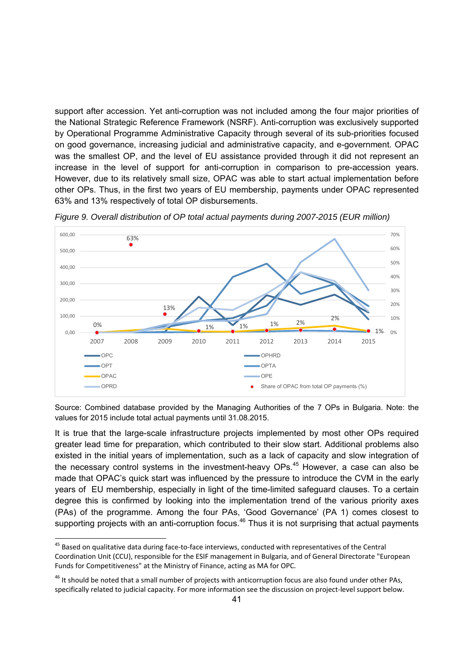support after accession. Yet anti-corruption was not included among the four major priorities of the National Strategic Reference Framework (NSRF). Anti-corruption was exclusively supported by Operational Programme Administrative Capacity through several of its sub-priorities focused on good governance, increasing judicial and administrative capacity, and e-government. OPAC was the smallest OP, and the level of EU assistance provided through it did not represent an increase in the level of support for anti-corruption in comparison to pre-accession years. However, due to its relatively small size, OPAC was able to start actual implementation before other OPs. Thus, in the first two years of EU membership, payments under OPAC represented 63% and 13% respectively of total OP disbursements.



*Figure 9. Overall distribution of OP total actual payments during 2007-2015 (EUR million)*

Source: Combined database provided by the Managing Authorities of the 7 OPs in Bulgaria. Note: the values for 2015 include total actual payments until 31.08.2015.

It is true that the large-scale infrastructure projects implemented by most other OPs required greater lead time for preparation, which contributed to their slow start. Additional problems also existed in the initial years of implementation, such as a lack of capacity and slow integration of the necessary control systems in the investment-heavy OPs.<sup>45</sup> However, a case can also be made that OPAC's quick start was influenced by the pressure to introduce the CVM in the early years of EU membership, especially in light of the time-limited safeguard clauses. To a certain degree this is confirmed by looking into the implementation trend of the various priority axes (PAs) of the programme. Among the four PAs, 'Good Governance' (PA 1) comes closest to supporting projects with an anti-corruption focus. $46$  Thus it is not surprising that actual payments

<sup>45</sup> Based on qualitative data during face-to-face interviews, conducted with representatives of the Central Coordination Unit (CCU), responsible for the ESIF management in Bulgaria, and of General Directorate "European Funds for Competitiveness" at the Ministry of Finance, acting as MA for OPC.

 $46$  It should be noted that a small number of projects with anticorruption focus are also found under other PAs, specifically related to judicial capacity. For more information see the discussion on project‐level support below.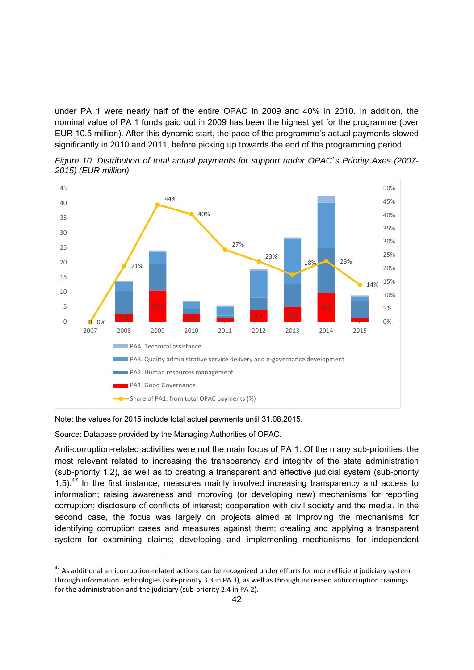under PA 1 were nearly half of the entire OPAC in 2009 and 40% in 2010. In addition, the nominal value of PA 1 funds paid out in 2009 has been the highest yet for the programme (over EUR 10.5 million). After this dynamic start, the pace of the programme's actual payments slowed significantly in 2010 and 2011, before picking up towards the end of the programming period.





Note: the values for 2015 include total actual payments until 31.08.2015.

Source: Database provided by the Managing Authorities of OPAC.

-

Anti-corruption-related activities were not the main focus of PA 1. Of the many sub-priorities, the most relevant related to increasing the transparency and integrity of the state administration (sub-priority 1.2), as well as to creating a transparent and effective judicial system (sub-priority 1.5).<sup>47</sup> In the first instance, measures mainly involved increasing transparency and access to information; raising awareness and improving (or developing new) mechanisms for reporting corruption; disclosure of conflicts of interest; cooperation with civil society and the media. In the second case, the focus was largely on projects aimed at improving the mechanisms for identifying corruption cases and measures against them; creating and applying a transparent system for examining claims; developing and implementing mechanisms for independent

<sup>&</sup>lt;sup>47</sup> As additional anticorruption-related actions can be recognized under efforts for more efficient judiciary system through information technologies (sub‐priority 3.3 in PA 3), as well as through increased anticorruption trainings for the administration and the judiciary (sub-priority 2.4 in PA 2).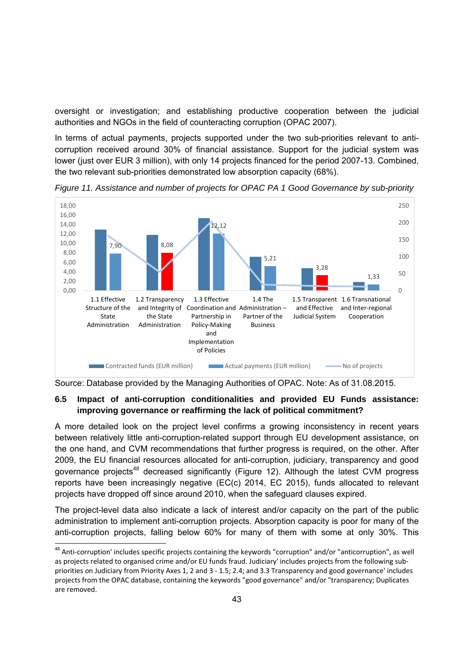oversight or investigation; and establishing productive cooperation between the judicial authorities and NGOs in the field of counteracting corruption (OPAC 2007).

In terms of actual payments, projects supported under the two sub-priorities relevant to anticorruption received around 30% of financial assistance. Support for the judicial system was lower (just over EUR 3 million), with only 14 projects financed for the period 2007-13. Combined, the two relevant sub-priorities demonstrated low absorption capacity (68%).



*Figure 11. Assistance and number of projects for OPAC PA 1 Good Governance by sub-priority*

Source: Database provided by the Managing Authorities of OPAC. Note: As of 31.08.2015.

#### **6.5 Impact of anti-corruption conditionalities and provided EU Funds assistance: improving governance or reaffirming the lack of political commitment?**

A more detailed look on the project level confirms a growing inconsistency in recent years between relatively little anti-corruption-related support through EU development assistance, on the one hand, and CVM recommendations that further progress is required, on the other. After 2009, the EU financial resources allocated for anti-corruption, judiciary, transparency and good governance projects<sup>48</sup> decreased significantly (Figure 12). Although the latest CVM progress reports have been increasingly negative (EC(c) 2014, EC 2015), funds allocated to relevant projects have dropped off since around 2010, when the safeguard clauses expired.

The project-level data also indicate a lack of interest and/or capacity on the part of the public administration to implement anti-corruption projects. Absorption capacity is poor for many of the anti-corruption projects, falling below 60% for many of them with some at only 30%. This

-

<sup>&</sup>lt;sup>48</sup> Anti-corruption' includes specific projects containing the keywords "corruption" and/or "anticorruption", as well as projects related to organised crime and/or EU funds fraud. Judiciary' includes projects from the following subpriorities on Judiciary from Priority Axes 1, 2 and 3 ‐ 1.5; 2.4; and 3.3 Transparency and good governance' includes projects from the OPAC database, containing the keywords "good governance" and/or "transparency; Duplicates are removed.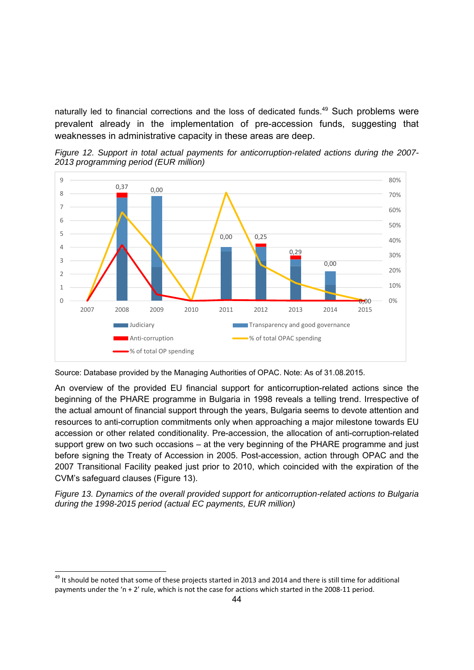naturally led to financial corrections and the loss of dedicated funds.<sup>49</sup> Such problems were prevalent already in the implementation of pre-accession funds, suggesting that weaknesses in administrative capacity in these areas are deep.



*Figure 12. Support in total actual payments for anticorruption-related actions during the 2007- 2013 programming period (EUR million)*

An overview of the provided EU financial support for anticorruption-related actions since the beginning of the PHARE programme in Bulgaria in 1998 reveals a telling trend. Irrespective of the actual amount of financial support through the years, Bulgaria seems to devote attention and resources to anti-corruption commitments only when approaching a major milestone towards EU accession or other related conditionality. Pre-accession, the allocation of anti-corruption-related support grew on two such occasions – at the very beginning of the PHARE programme and just before signing the Treaty of Accession in 2005. Post-accession, action through OPAC and the 2007 Transitional Facility peaked just prior to 2010, which coincided with the expiration of the CVM's safeguard clauses (Figure 13).

*Figure 13. Dynamics of the overall provided support for anticorruption-related actions to Bulgaria during the 1998-2015 period (actual EC payments, EUR million)*

-

Source: Database provided by the Managing Authorities of OPAC. Note: As of 31.08.2015.

 $49$  It should be noted that some of these projects started in 2013 and 2014 and there is still time for additional payments under the 'n + 2' rule, which is not the case for actions which started in the 2008‐11 period.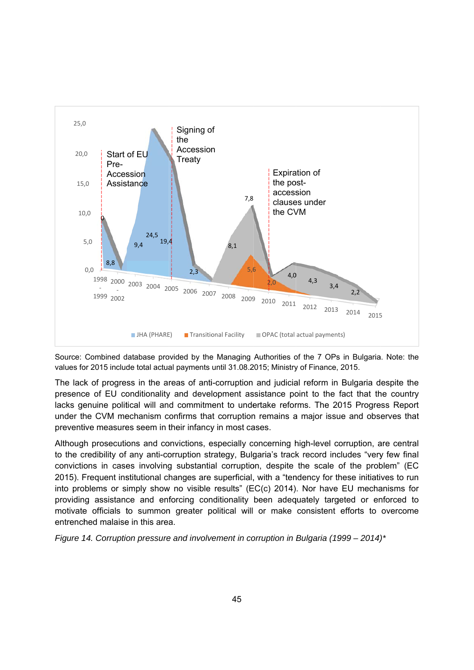

Source: Combined database provided by the Managing Authorities of the 7 OPs in Bulgaria. Note: the values for 2015 include total actual payments until 31.08.2015; Ministry of Finance, 2015.

The lack of progress in the areas of anti-corruption and judicial reform in Bulgaria despite the presence of EU conditionality and development assistance point to the fact that the country lacks genuine political will and commitment to undertake reforms. The 2015 Progress Report under the CVM mechanism confirms that corruption remains a major issue and observes that preventive measures seem in their infancy in most cases.

Although prosecutions and convictions, especially concerning high-level corruption, are central to the credibility of any anti-corruption strategy, Bulgaria's track record includes "very few final convictions in cases involving substantial corruption, despite the scale of the problem" (EC 2015). Frequent institutional changes are superficial, with a "tendency for these initiatives to run into problems or simply show no visible results" (EC(c) 2014). Nor have EU mechanisms for providing assistance and enforcing conditionality been adequately targeted or enforced to motivate officials to summon greater political will or make consistent efforts to overcome entrenched malaise in this area.

*Figure 14. Corruption pressure and involvement in corruption in Bulgaria (1999 – 2014)*<sup>\*</sup>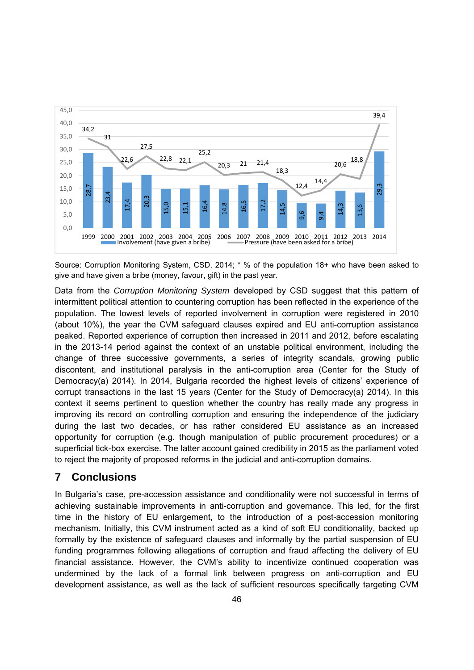

Source: Corruption Monitoring System, CSD, 2014; \* % of the population 18+ who have been asked to give and have given a bribe (money, favour, gift) in the past year.

Data from the *Corruption Monitoring System* developed by CSD suggest that this pattern of intermittent political attention to countering corruption has been reflected in the experience of the population. The lowest levels of reported involvement in corruption were registered in 2010 (about 10%), the year the CVM safeguard clauses expired and EU anti-corruption assistance peaked. Reported experience of corruption then increased in 2011 and 2012, before escalating in the 2013-14 period against the context of an unstable political environment, including the change of three successive governments, a series of integrity scandals, growing public discontent, and institutional paralysis in the anti-corruption area (Center for the Study of Democracy(a) 2014). In 2014, Bulgaria recorded the highest levels of citizens' experience of corrupt transactions in the last 15 years (Center for the Study of Democracy(a) 2014). In this context it seems pertinent to question whether the country has really made any progress in improving its record on controlling corruption and ensuring the independence of the judiciary during the last two decades, or has rather considered EU assistance as an increased opportunity for corruption (e.g. though manipulation of public procurement procedures) or a superficial tick-box exercise. The latter account gained credibility in 2015 as the parliament voted to reject the majority of proposed reforms in the judicial and anti-corruption domains.  $\frac{1}{100}$  as a standard as the lack of sufficient resources and assistance, as well as the lack of sufficient resources specifically targeting the specifical specifical specifical specifical specifical specifical specif

### **7 Conclusions**

In Bulgaria's case, pre-accession assistance and conditionality were not successful in terms of achieving sustainable improvements in anti-corruption and governance. This led, for the first time in the history of EU enlargement, to the introduction of a post-accession monitoring mechanism. Initially, this CVM instrument acted as a kind of soft EU conditionality, backed up formally by the existence of safeguard clauses and informally by the partial suspension of EU funding programmes following allegations of corruption and fraud affecting the delivery of EU financial assistance. However, the CVM's ability to incentivize continued cooperation was undermined by the lack of a formal link between progress on anti-corruption and EU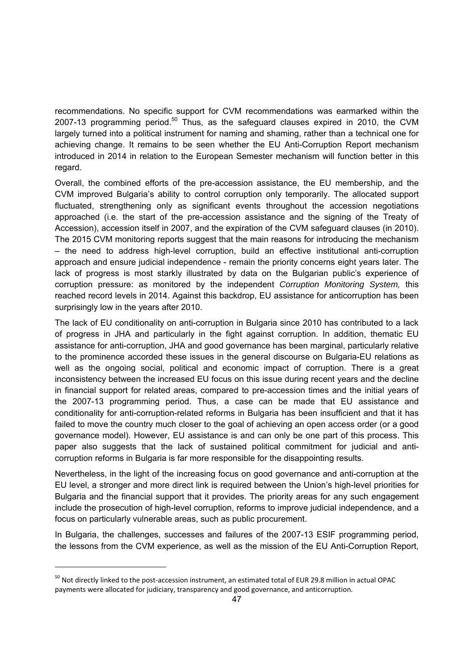recommendations. No specific support for CVM recommendations was earmarked within the 2007-13 programming period.<sup>50</sup> Thus, as the safeguard clauses expired in 2010, the CVM largely turned into a political instrument for naming and shaming, rather than a technical one for achieving change. It remains to be seen whether the EU Anti-Corruption Report mechanism introduced in 2014 in relation to the European Semester mechanism will function better in this regard.

Overall, the combined efforts of the pre-accession assistance, the EU membership, and the CVM improved Bulgaria's ability to control corruption only temporarily. The allocated support fluctuated, strengthening only as significant events throughout the accession negotiations approached (i.e. the start of the pre-accession assistance and the signing of the Treaty of Accession), accession itself in 2007, and the expiration of the CVM safeguard clauses (in 2010). The 2015 CVM monitoring reports suggest that the main reasons for introducing the mechanism – the need to address high-level corruption, build an effective institutional anti-corruption approach and ensure judicial independence - remain the priority concerns eight years later. The lack of progress is most starkly illustrated by data on the Bulgarian public's experience of corruption pressure: as monitored by the independent *Corruption Monitoring System,* this reached record levels in 2014. Against this backdrop, EU assistance for anticorruption has been surprisingly low in the years after 2010.

The lack of EU conditionality on anti-corruption in Bulgaria since 2010 has contributed to a lack of progress in JHA and particularly in the fight against corruption. In addition, thematic EU assistance for anti-corruption, JHA and good governance has been marginal, particularly relative to the prominence accorded these issues in the general discourse on Bulgaria-EU relations as well as the ongoing social, political and economic impact of corruption. There is a great inconsistency between the increased EU focus on this issue during recent years and the decline in financial support for related areas, compared to pre-accession times and the initial years of the 2007-13 programming period. Thus, a case can be made that EU assistance and conditionality for anti-corruption-related reforms in Bulgaria has been insufficient and that it has failed to move the country much closer to the goal of achieving an open access order (or a good governance model). However, EU assistance is and can only be one part of this process. This paper also suggests that the lack of sustained political commitment for judicial and anticorruption reforms in Bulgaria is far more responsible for the disappointing results.

Nevertheless, in the light of the increasing focus on good governance and anti-corruption at the EU level, a stronger and more direct link is required between the Union's high-level priorities for Bulgaria and the financial support that it provides. The priority areas for any such engagement include the prosecution of high-level corruption, reforms to improve judicial independence, and a focus on particularly vulnerable areas, such as public procurement.

In Bulgaria, the challenges, successes and failures of the 2007-13 ESIF programming period, the lessons from the CVM experience, as well as the mission of the EU Anti-Corruption Report,

<sup>50</sup> Not directly linked to the post‐accession instrument, an estimated total of EUR 29.8 million in actual OPAC payments were allocated for judiciary, transparency and good governance, and anticorruption.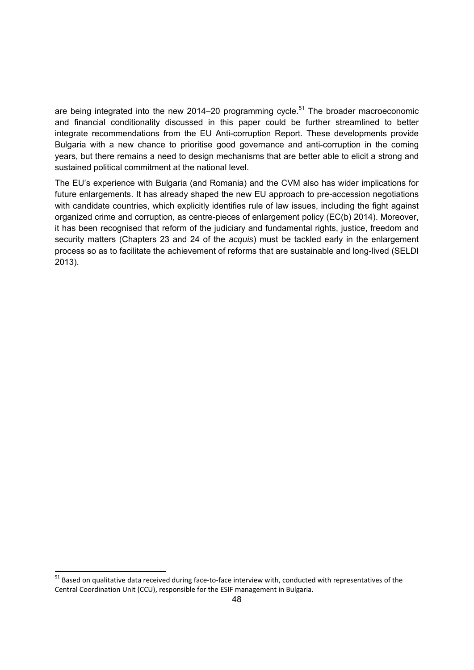are being integrated into the new 2014–20 programming cycle.<sup>51</sup> The broader macroeconomic and financial conditionality discussed in this paper could be further streamlined to better integrate recommendations from the EU Anti-corruption Report. These developments provide Bulgaria with a new chance to prioritise good governance and anti-corruption in the coming years, but there remains a need to design mechanisms that are better able to elicit a strong and sustained political commitment at the national level.

The EU's experience with Bulgaria (and Romania) and the CVM also has wider implications for future enlargements. It has already shaped the new EU approach to pre-accession negotiations with candidate countries, which explicitly identifies rule of law issues, including the fight against organized crime and corruption, as centre-pieces of enlargement policy (EC(b) 2014). Moreover, it has been recognised that reform of the judiciary and fundamental rights, justice, freedom and security matters (Chapters 23 and 24 of the *acquis*) must be tackled early in the enlargement process so as to facilitate the achievement of reforms that are sustainable and long-lived (SELDI 2013).

-

<sup>&</sup>lt;sup>51</sup> Based on qualitative data received during face-to-face interview with, conducted with representatives of the Central Coordination Unit (CCU), responsible for the ESIF management in Bulgaria.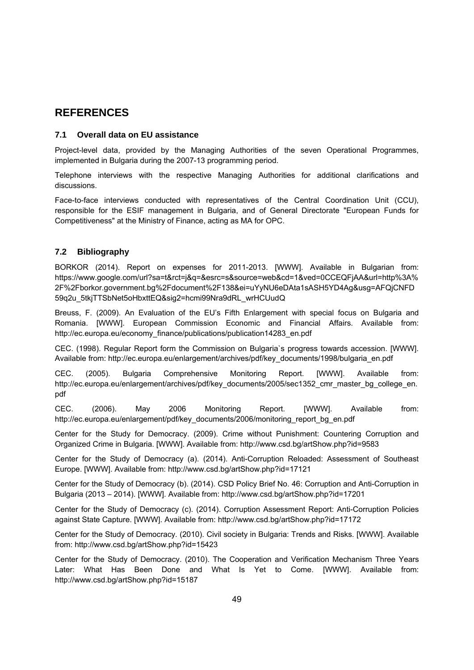### **REFERENCES**

#### **7.1 Overall data on EU assistance**

Project-level data, provided by the Managing Authorities of the seven Operational Programmes, implemented in Bulgaria during the 2007-13 programming period.

Telephone interviews with the respective Managing Authorities for additional clarifications and discussions.

Face-to-face interviews conducted with representatives of the Central Coordination Unit (CCU), responsible for the ESIF management in Bulgaria, and of General Directorate "European Funds for Competitiveness" at the Ministry of Finance, acting as MA for OPC.

#### **7.2 Bibliography**

BORKOR (2014). Report on expenses for 2011-2013. [WWW]. Available in Bulgarian from: https://www.google.com/url?sa=t&rct=j&q=&esrc=s&source=web&cd=1&ved=0CCEQFjAA&url=http%3A% 2F%2Fborkor.government.bg%2Fdocument%2F138&ei=uYyNU6eDAta1sASH5YD4Ag&usg=AFQjCNFD 59q2u\_5tkjTTSbNet5oHbxttEQ&sig2=hcmi99Nra9dRL\_wrHCUudQ

Breuss, F. (2009). An Evaluation of the EU's Fifth Enlargement with special focus on Bulgaria and Romania. [WWW]. European Commission Economic and Financial Affairs. Available from: http://ec.europa.eu/economy\_finance/publications/publication14283\_en.pdf

CEC. (1998). Regular Report form the Commission on Bulgaria`s progress towards accession. [WWW]. Available from: http://ec.europa.eu/enlargement/archives/pdf/key\_documents/1998/bulgaria\_en.pdf

CEC. (2005). Bulgaria Comprehensive Monitoring Report. [WWW]. Available from: http://ec.europa.eu/enlargement/archives/pdf/key\_documents/2005/sec1352\_cmr\_master\_bg\_college\_en. pdf

CEC. (2006). May 2006 Monitoring Report. [WWW]. Available from: http://ec.europa.eu/enlargement/pdf/key\_documents/2006/monitoring\_report\_bg\_en.pdf

Center for the Study for Democracy. (2009). Crime without Punishment: Countering Corruption and Organized Crime in Bulgaria. [WWW]. Available from: http://www.csd.bg/artShow.php?id=9583

Center for the Study of Democracy (a). (2014). Anti-Corruption Reloaded: Assessment of Southeast Europe. [WWW]. Available from: http://www.csd.bg/artShow.php?id=17121

Center for the Study of Democracy (b). (2014). CSD Policy Brief No. 46: Corruption and Anti-Corruption in Bulgaria (2013 – 2014). [WWW]. Available from: http://www.csd.bg/artShow.php?id=17201

Center for the Study of Democracy (c). (2014). Corruption Assessment Report: Anti-Corruption Policies against State Capture. [WWW]. Available from: http://www.csd.bg/artShow.php?id=17172

Center for the Study of Democracy. (2010). Civil society in Bulgaria: Trends and Risks. [WWW]. Available from: http://www.csd.bg/artShow.php?id=15423

Center for the Study of Democracy. (2010). The Cooperation and Verification Mechanism Three Years Later: What Has Been Done and What Is Yet to Come. [WWW]. Available from: http://www.csd.bg/artShow.php?id=15187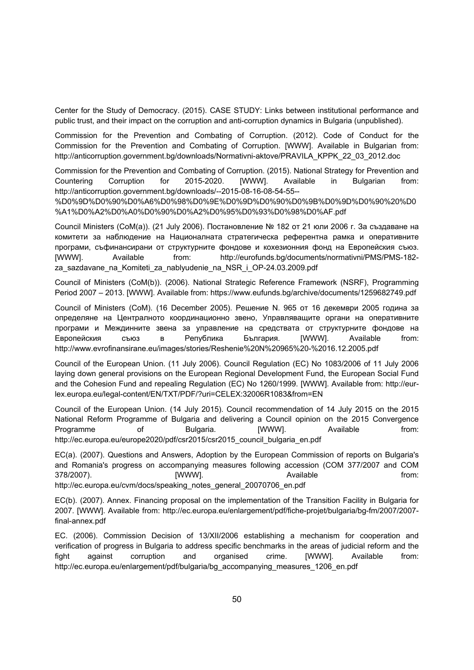Center for the Study of Democracy. (2015). CASE STUDY: Links between institutional performance and public trust, and their impact on the corruption and anti-corruption dynamics in Bulgaria (unpublished).

Commission for the Prevention and Combating of Corruption. (2012). Code of Conduct for the Commission for the Prevention and Combating of Corruption. [WWW]. Available in Bulgarian from: http://anticorruption.government.bg/downloads/Normativni-aktove/PRAVILA\_KPPK\_22\_03\_2012.doc

Commission for the Prevention and Combating of Corruption. (2015). National Strategy for Prevention and Countering Corruption for 2015-2020. [WWW]. Available in Bulgarian from: http://anticorruption.government.bg/downloads/--2015-08-16-08-54-55--

%D0%9D%D0%90%D0%A6%D0%98%D0%9E%D0%9D%D0%90%D0%9B%D0%9D%D0%90%20%D0 %A1%D0%A2%D0%A0%D0%90%D0%A2%D0%95%D0%93%D0%98%D0%AF.pdf

Council Ministers (CoM(a)). (21 July 2006). Постановление № 182 от 21 юли 2006 г. За създаване на комитети за наблюдение на Националната стратегическа референтна рамка и оперативните програми, съфинансирани от структурните фондове и кохезионния фонд на Европейския съюз. [WWW]. Available from: http://eurofunds.bg/documents/normativni/PMS/PMS-182 za\_sazdavane\_na\_Komiteti\_za\_nablyudenie\_na\_NSR\_i\_OP-24.03.2009.pdf

Council of Ministers (CoM(b)). (2006). National Strategic Reference Framework (NSRF), Programming Period 2007 – 2013. [WWW]. Available from: https://www.eufunds.bg/archive/documents/1259682749.pdf

Council of Ministers (CoM). (16 December 2005). Решение N. 965 от 16 декември 2005 година за определяне на Централното координационно звено, Управляващите органи на оперативните програми и Междинните звена за управление на средствата от структурните фондове на Европейския съюз в Република България. [WWW]. Available from: http://www.evrofinansirane.eu/images/stories/Reshenie%20N%20965%20-%2016.12.2005.pdf

Council of the European Union. (11 July 2006). Council Regulation (EC) No 1083/2006 of 11 July 2006 laying down general provisions on the European Regional Development Fund, the European Social Fund and the Cohesion Fund and repealing Regulation (EC) No 1260/1999. [WWW]. Available from: http://eurlex.europa.eu/legal-content/EN/TXT/PDF/?uri=CELEX:32006R1083&from=EN

Council of the European Union. (14 July 2015). Council recommendation of 14 July 2015 on the 2015 National Reform Programme of Bulgaria and delivering a Council opinion on the 2015 Convergence Programme of Bulgaria. [WWW]. Available from: http://ec.europa.eu/europe2020/pdf/csr2015/csr2015\_council\_bulgaria\_en.pdf

EC(a). (2007). Questions and Answers, Adoption by the European Commission of reports on Bulgaria's and Romania's progress on accompanying measures following accession (COM 377/2007 and COM 378/2007). [WWW]. Available from: http://ec.europa.eu/cvm/docs/speaking\_notes\_general\_20070706\_en.pdf

EC(b). (2007). Annex. Financing proposal on the implementation of the Transition Facility in Bulgaria for 2007. [WWW]. Available from: http://ec.europa.eu/enlargement/pdf/fiche-projet/bulgaria/bg-fm/2007/2007 final-annex.pdf

EC. (2006). Commission Decision of 13/XII/2006 establishing a mechanism for cooperation and verification of progress in Bulgaria to address specific benchmarks in the areas of judicial reform and the fight against corruption and organised crime. [WWW]. Available from: http://ec.europa.eu/enlargement/pdf/bulgaria/bg\_accompanying\_measures\_1206\_en.pdf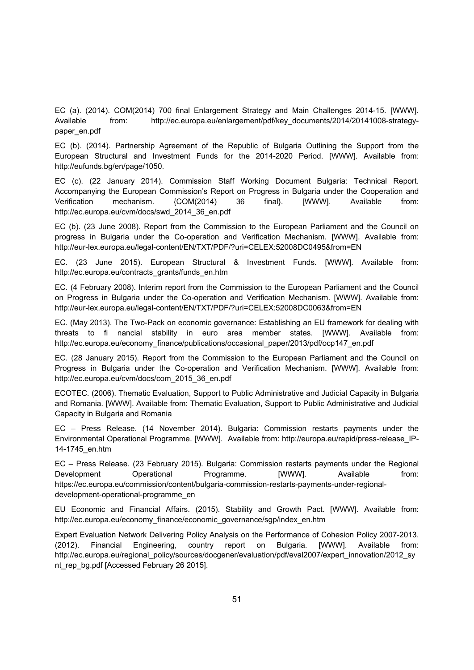EC (a). (2014). COM(2014) 700 final Enlargement Strategy and Main Challenges 2014-15. [WWW]. Available from: http://ec.europa.eu/enlargement/pdf/key\_documents/2014/20141008-strategypaper\_en.pdf

EC (b). (2014). Partnership Agreement of the Republic of Bulgaria Outlining the Support from the European Structural and Investment Funds for the 2014-2020 Period. [WWW]. Available from: http://eufunds.bg/en/page/1050.

EC (c). (22 January 2014). Commission Staff Working Document Bulgaria: Technical Report. Accompanying the European Commission's Report on Progress in Bulgaria under the Cooperation and Verification mechanism. {COM(2014) 36 final}. [WWW]. Available from: http://ec.europa.eu/cvm/docs/swd\_2014\_36\_en.pdf

EC (b). (23 June 2008). Report from the Commission to the European Parliament and the Council on progress in Bulgaria under the Co-operation and Verification Mechanism. [WWW]. Available from: http://eur-lex.europa.eu/legal-content/EN/TXT/PDF/?uri=CELEX:52008DC0495&from=EN

EC. (23 June 2015). European Structural & Investment Funds. [WWW]. Available from: http://ec.europa.eu/contracts\_grants/funds\_en.htm

EC. (4 February 2008). Interim report from the Commission to the European Parliament and the Council on Progress in Bulgaria under the Co-operation and Verification Mechanism. [WWW]. Available from: http://eur-lex.europa.eu/legal-content/EN/TXT/PDF/?uri=CELEX:52008DC0063&from=EN

EC. (May 2013). The Two-Pack on economic governance: Establishing an EU framework for dealing with threats to fi nancial stability in euro area member states. [WWW]. Available from: http://ec.europa.eu/economy\_finance/publications/occasional\_paper/2013/pdf/ocp147\_en.pdf

EC. (28 January 2015). Report from the Commission to the European Parliament and the Council on Progress in Bulgaria under the Co-operation and Verification Mechanism. [WWW]. Available from: http://ec.europa.eu/cvm/docs/com\_2015\_36\_en.pdf

ECOTEC. (2006). Thematic Evaluation, Support to Public Administrative and Judicial Capacity in Bulgaria and Romania. [WWW]. Available from: Thematic Evaluation, Support to Public Administrative and Judicial Capacity in Bulgaria and Romania

EC – Press Release. (14 November 2014). Bulgaria: Commission restarts payments under the Environmental Operational Programme. [WWW]. Available from: http://europa.eu/rapid/press-release\_IP-14-1745\_en.htm

EC – Press Release. (23 February 2015). Bulgaria: Commission restarts payments under the Regional Development Operational Programme. [WWW]. Available from: https://ec.europa.eu/commission/content/bulgaria-commission-restarts-payments-under-regionaldevelopment-operational-programme\_en

EU Economic and Financial Affairs. (2015). Stability and Growth Pact. [WWW]. Available from: http://ec.europa.eu/economy\_finance/economic\_governance/sgp/index\_en.htm

Expert Evaluation Network Delivering Policy Analysis on the Performance of Cohesion Policy 2007-2013. (2012). Financial Engineering, country report on Bulgaria. [WWW]. Available from: http://ec.europa.eu/regional\_policy/sources/docgener/evaluation/pdf/eval2007/expert\_innovation/2012\_sy nt\_rep\_bg.pdf [Accessed February 26 2015].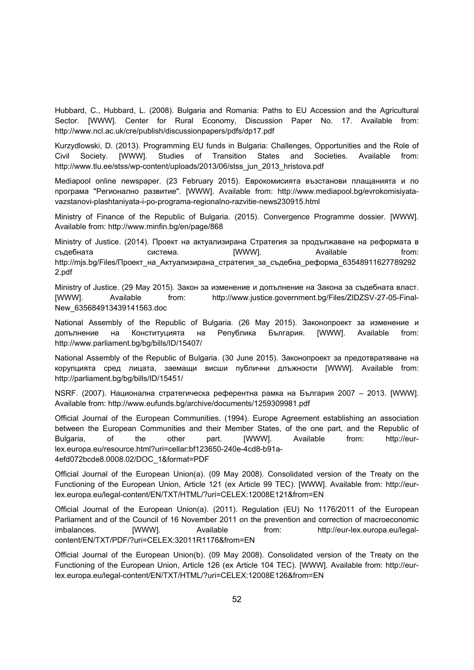Hubbard, C., Hubbard, L. (2008). Bulgaria and Romania: Paths to EU Accession and the Agricultural Sector. [WWW]. Center for Rural Economy, Discussion Paper No. 17. Available from: http://www.ncl.ac.uk/cre/publish/discussionpapers/pdfs/dp17.pdf

Kurzydlowski, D. (2013). Programming EU funds in Bulgaria: Challenges, Opportunities and the Role of Civil Society. [WWW]. Studies of Transition States and Societies. Available from: http://www.tlu.ee/stss/wp-content/uploads/2013/06/stss\_jun\_2013\_hristova.pdf

Mediapool online newspaper. (23 February 2015). Еврокомисията възстанови плащанията и по програма "Регионално развитие". [WWW]. Available from: http://www.mediapool.bg/evrokomisiyatavazstanovi-plashtaniyata-i-po-programa-regionalno-razvitie-news230915.html

Ministry of Finance of the Republic of Bulgaria. (2015). Convergence Programme dossier. [WWW]. Available from: http://www.minfin.bg/en/page/868

Ministry of Justice. (2014). Проект на актуализирана Стратегия за продължаване на реформата в съдебната система. [WWW]. Available from: http://mjs.bg/Files/Проект\_на\_Актуализирана\_стратегия\_за\_съдебна\_реформа\_63548911627789292 2.pdf

Ministry of Justice. (29 May 2015). Закон за изменение и допълнение на Закона за съдебната власт. [WWW]. Available from: http://www.justice.government.bg/Files/ZIDZSV-27-05-Final-New\_635684913439141563.doc

National Assembly of the Republic of Bulgaria. (26 May 2015). Законопроект за изменение и допълнение на Конституцията на Република България. [WWW]. Available from: http://www.parliament.bg/bg/bills/ID/15407/

National Assembly of the Republic of Bulgaria. (30 June 2015). Законопроект за предотвратяване на корупцията сред лицата, заемащи висши публични длъжности [WWW]. Available from: http://parliament.bg/bg/bills/ID/15451/

NSRF. (2007). Национална стратегическа референтна рамка на България 2007 – 2013. [WWW]. Available from: http://www.eufunds.bg/archive/documents/1259309981.pdf

Official Journal of the European Communities. (1994). Europe Agreement establishing an association between the European Communities and their Member States, of the one part, and the Republic of Bulgaria, of the other part. [WWW]. Available from: http://eurlex.europa.eu/resource.html?uri=cellar:bf123650-240e-4cd8-b91a-4efd072bcde8.0008.02/DOC\_1&format=PDF

Official Journal of the European Union(a). (09 May 2008). Consolidated version of the Treaty on the Functioning of the European Union, Article 121 (ex Article 99 TEC). [WWW]. Available from: http://eurlex.europa.eu/legal-content/EN/TXT/HTML/?uri=CELEX:12008E121&from=EN

Official Journal of the European Union(a). (2011). Regulation (EU) No 1176/2011 of the European Parliament and of the Council of 16 November 2011 on the prevention and correction of macroeconomic imbalances. [WWW]. Available from: http://eur-lex.europa.eu/legalcontent/EN/TXT/PDF/?uri=CELEX:32011R1176&from=EN

Official Journal of the European Union(b). (09 May 2008). Consolidated version of the Treaty on the Functioning of the European Union, Article 126 (ex Article 104 TEC). [WWW]. Available from: http://eurlex.europa.eu/legal-content/EN/TXT/HTML/?uri=CELEX:12008E126&from=EN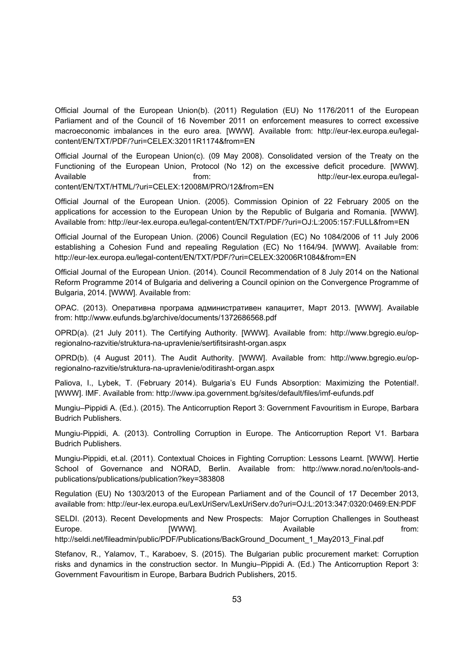Official Journal of the European Union(b). (2011) Regulation (EU) No 1176/2011 of the European Parliament and of the Council of 16 November 2011 on enforcement measures to correct excessive macroeconomic imbalances in the euro area. [WWW]. Available from: http://eur-lex.europa.eu/legalcontent/EN/TXT/PDF/?uri=CELEX:32011R1174&from=EN

Official Journal of the European Union(c). (09 May 2008). Consolidated version of the Treaty on the Functioning of the European Union, Protocol (No 12) on the excessive deficit procedure. [WWW]. Available from: http://eur-lex.europa.eu/legalcontent/EN/TXT/HTML/?uri=CELEX:12008M/PRO/12&from=EN

Official Journal of the European Union. (2005). Commission Opinion of 22 February 2005 on the applications for accession to the European Union by the Republic of Bulgaria and Romania. [WWW]. Available from: http://eur-lex.europa.eu/legal-content/EN/TXT/PDF/?uri=OJ:L:2005:157:FULL&from=EN

Official Journal of the European Union. (2006) Council Regulation (EC) No 1084/2006 of 11 July 2006 establishing a Cohesion Fund and repealing Regulation (EC) No 1164/94. [WWW]. Available from: http://eur-lex.europa.eu/legal-content/EN/TXT/PDF/?uri=CELEX:32006R1084&from=EN

Official Journal of the European Union. (2014). Council Recommendation of 8 July 2014 on the National Reform Programme 2014 of Bulgaria and delivering a Council opinion on the Convergence Programme of Bulgaria, 2014. [WWW]. Available from:

OPAC. (2013). Оперативна програма административен капацитет, Март 2013. [WWW]. Available from: http://www.eufunds.bg/archive/documents/1372686568.pdf

OPRD(a). (21 July 2011). The Certifying Authority. [WWW]. Available from: http://www.bgregio.eu/opregionalno-razvitie/struktura-na-upravlenie/sertifitsirasht-organ.aspx

OPRD(b). (4 August 2011). The Audit Authority. [WWW]. Available from: http://www.bgregio.eu/opregionalno-razvitie/struktura-na-upravlenie/oditirasht-organ.aspx

Paliova, I., Lybek, T. (February 2014). Bulgaria's EU Funds Absorption: Maximizing the Potential!. [WWW]. IMF. Available from: http://www.ipa.government.bg/sites/default/files/imf-eufunds.pdf

Mungiu–Pippidi A. (Ed.). (2015). The Anticorruption Report 3: Government Favouritism in Europe, Barbara Budrich Publishers.

Mungiu-Pippidi, A. (2013). Controlling Corruption in Europe. The Anticorruption Report V1. Barbara Budrich Publishers.

Mungiu-Pippidi, et.al. (2011). Contextual Choices in Fighting Corruption: Lessons Learnt. [WWW]. Hertie School of Governance and NORAD, Berlin. Available from: http://www.norad.no/en/tools-andpublications/publications/publication?key=383808

Regulation (EU) No 1303/2013 of the European Parliament and of the Council of 17 December 2013, available from: http://eur-lex.europa.eu/LexUriServ/LexUriServ.do?uri=OJ:L:2013:347:0320:0469:EN:PDF

SELDI. (2013). Recent Developments and New Prospects: Major Corruption Challenges in Southeast Europe. [WWW]. Available from:

http://seldi.net/fileadmin/public/PDF/Publications/BackGround\_Document\_1\_May2013\_Final.pdf

Stefanov, R., Yalamov, T., Karaboev, S. (2015). The Bulgarian public procurement market: Corruption risks and dynamics in the construction sector. In Mungiu–Pippidi A. (Ed.) The Anticorruption Report 3: Government Favouritism in Europe, Barbara Budrich Publishers, 2015.